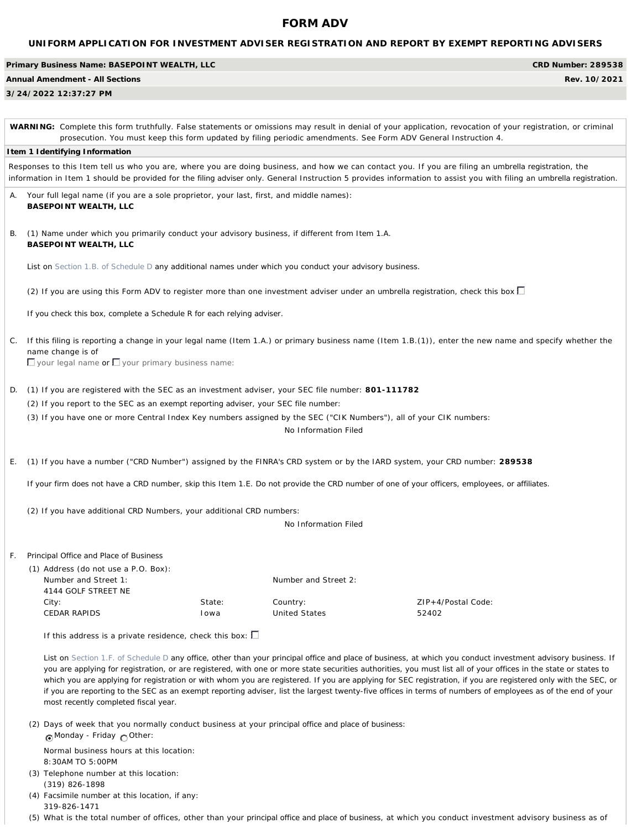# **FORM ADV**

## **UNIFORM APPLICATION FOR INVESTMENT ADVISER REGISTRATION AND REPORT BY EXEMPT REPORTING ADVISERS**

| Primary Business Name: BASEPOINT WEALTH, LLC                                                                                                                                                                                                                                                                                          | <b>CRD Number: 289538</b> |
|---------------------------------------------------------------------------------------------------------------------------------------------------------------------------------------------------------------------------------------------------------------------------------------------------------------------------------------|---------------------------|
| Annual Amendment - All Sections                                                                                                                                                                                                                                                                                                       | Rev. 10/2021              |
| 3/24/2022 12:37:27 PM                                                                                                                                                                                                                                                                                                                 |                           |
|                                                                                                                                                                                                                                                                                                                                       |                           |
| <b>WARNING:</b> Complete this form truthfully. False statements or omissions may result in denial of your application, revocation of your registration, or criminal<br>prosecution. You must keep this form updated by filing periodic amendments. See Form ADV General Instruction 4.                                                |                           |
| Item 1 Identifying Information                                                                                                                                                                                                                                                                                                        |                           |
| Responses to this Item tell us who you are, where you are doing business, and how we can contact you. If you are filing an <i>umbrella registration</i> , the<br>information in Item 1 should be provided for the filing adviser only. General Instruction 5 provides information to assist you with filing an umbrella registration. |                           |
| Your full legal name (if you are a sole proprietor, your last, first, and middle names):<br>A.<br><b>BASEPOINT WEALTH, LLC</b>                                                                                                                                                                                                        |                           |

B. (1) Name under which you primarily conduct your advisory business, if different from Item 1.A. **BASEPOINT WEALTH, LLC**

*List on Section 1.B. of Schedule D any additional names under which you conduct your advisory business.*

(2) If you are using this Form ADV to register more than one investment adviser under an *umbrella registration*, check this box

*If you check this box, complete a Schedule R for each relying adviser.*

C. If this filing is reporting a change in your legal name (Item 1.A.) or primary business name (Item 1.B.(1)), enter the new name and specify whether the name change is of

 $\Box$  your legal name or  $\Box$  your primary business name:

D. (1) If you are registered with the SEC as an investment adviser, your SEC file number: **801-111782** (2) If you report to the SEC as an *exempt reporting adviser*, your SEC file number: (3) If you have one or more Central Index Key numbers assigned by the SEC ("CIK Numbers"), all of your CIK numbers:

No Information Filed

E. (1) If you have a number ("*CRD* Number") assigned by the *FINRA's CRD* system or by the IARD system, your *CRD* number: **289538**

*If your firm does not have a CRD number, skip this Item 1.E. Do not provide the CRD number of one of your officers, employees, or affiliates.*

(2) If you have additional *CRD* Numbers, your additional *CRD* numbers:

No Information Filed

F. *Principal Office and Place of Business*

| (1) Address (do not use a P.O. Box): |        |                      |
|--------------------------------------|--------|----------------------|
| Number and Street 1:                 |        | Number and Street 2: |
| 4144 GOLF STREET NE                  |        |                      |
| City:                                | State: | Country:             |
| CEDAR RAPIDS                         | lowa   | United States        |
|                                      |        |                      |

ZIP+4/Postal Code: 52402

If this address is a private residence, check this box:  $\Box$ 

*List on Section 1.F. of Schedule D any office, other than your principal office and place of business, at which you conduct investment advisory business. If you are applying for registration, or are registered, with one or more state securities authorities, you must list all of your offices in the state or states to which you are applying for registration or with whom you are registered. If you are applying for SEC registration, if you are registered only with the SEC, or if you are reporting to the SEC as an exempt reporting adviser, list the largest twenty-five offices in terms of numbers of employees as of the end of your most recently completed fiscal year.*

(2) Days of week that you normally conduct business at your *principal office and place of business:* Monday - Friday Other:

Normal business hours at this location: 8:30AM TO 5:00PM

- (3) Telephone number at this location: (319) 826-1898
- (4) Facsimile number at this location, if any: 319-826-1471

(5) What is the total number of offices, other than your *principal office and place of business*, at which you conduct investment advisory business as of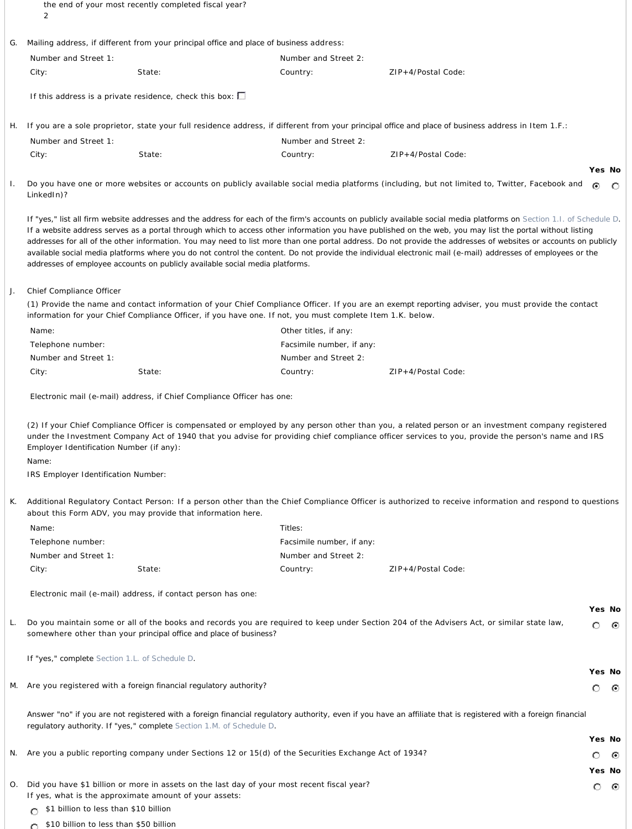|    | 2                                                                                        | the end of your most recently completed fiscal year?                                                                                                  |                           |                                                                                                                                                                                                                                                                                                                                                                                                                                                                                                                                                                                                                                                                     |         |                   |
|----|------------------------------------------------------------------------------------------|-------------------------------------------------------------------------------------------------------------------------------------------------------|---------------------------|---------------------------------------------------------------------------------------------------------------------------------------------------------------------------------------------------------------------------------------------------------------------------------------------------------------------------------------------------------------------------------------------------------------------------------------------------------------------------------------------------------------------------------------------------------------------------------------------------------------------------------------------------------------------|---------|-------------------|
| G. |                                                                                          | Mailing address, if different from your principal office and place of business address:                                                               |                           |                                                                                                                                                                                                                                                                                                                                                                                                                                                                                                                                                                                                                                                                     |         |                   |
|    | Number and Street 1:                                                                     |                                                                                                                                                       | Number and Street 2:      |                                                                                                                                                                                                                                                                                                                                                                                                                                                                                                                                                                                                                                                                     |         |                   |
|    | City:                                                                                    | State:                                                                                                                                                | Country:                  | ZIP+4/Postal Code:                                                                                                                                                                                                                                                                                                                                                                                                                                                                                                                                                                                                                                                  |         |                   |
|    |                                                                                          | If this address is a private residence, check this box: $\square$                                                                                     |                           |                                                                                                                                                                                                                                                                                                                                                                                                                                                                                                                                                                                                                                                                     |         |                   |
| Н. |                                                                                          |                                                                                                                                                       |                           | If you are a sole proprietor, state your full residence address, if different from your principal office and place of business address in Item 1.F.:                                                                                                                                                                                                                                                                                                                                                                                                                                                                                                                |         |                   |
|    | Number and Street 1:                                                                     |                                                                                                                                                       | Number and Street 2:      |                                                                                                                                                                                                                                                                                                                                                                                                                                                                                                                                                                                                                                                                     |         |                   |
|    | City:                                                                                    | State:                                                                                                                                                | Country:                  | ZIP+4/Postal Code:                                                                                                                                                                                                                                                                                                                                                                                                                                                                                                                                                                                                                                                  |         |                   |
|    | LinkedIn)?                                                                               |                                                                                                                                                       |                           | Do you have one or more websites or accounts on publicly available social media platforms (including, but not limited to, Twitter, Facebook and                                                                                                                                                                                                                                                                                                                                                                                                                                                                                                                     | $\odot$ | Yes No<br>$\circ$ |
|    |                                                                                          | addresses of employee accounts on publicly available social media platforms.                                                                          |                           | If "yes," list all firm website addresses and the address for each of the firm's accounts on publicly available social media platforms on Section 1.1. of Schedule D.<br>If a website address serves as a portal through which to access other information you have published on the web, you may list the portal without listing<br>addresses for all of the other information. You may need to list more than one portal address. Do not provide the addresses of websites or accounts on publicly<br>available social media platforms where you do not control the content. Do not provide the individual electronic mail (e-mail) addresses of employees or the |         |                   |
|    | Chief Compliance Officer                                                                 |                                                                                                                                                       |                           |                                                                                                                                                                                                                                                                                                                                                                                                                                                                                                                                                                                                                                                                     |         |                   |
|    |                                                                                          | information for your Chief Compliance Officer, if you have one. If not, you must complete Item 1.K. below.                                            |                           | (1) Provide the name and contact information of your Chief Compliance Officer. If you are an exempt reporting adviser, you must provide the contact                                                                                                                                                                                                                                                                                                                                                                                                                                                                                                                 |         |                   |
|    | Name:                                                                                    |                                                                                                                                                       | Other titles, if any:     |                                                                                                                                                                                                                                                                                                                                                                                                                                                                                                                                                                                                                                                                     |         |                   |
|    | Telephone number:                                                                        |                                                                                                                                                       | Facsimile number, if any: |                                                                                                                                                                                                                                                                                                                                                                                                                                                                                                                                                                                                                                                                     |         |                   |
|    | Number and Street 1:                                                                     |                                                                                                                                                       | Number and Street 2:      |                                                                                                                                                                                                                                                                                                                                                                                                                                                                                                                                                                                                                                                                     |         |                   |
|    | City:                                                                                    | State:                                                                                                                                                | Country:                  | ZIP+4/Postal Code:                                                                                                                                                                                                                                                                                                                                                                                                                                                                                                                                                                                                                                                  |         |                   |
|    |                                                                                          | Electronic mail (e-mail) address, if Chief Compliance Officer has one:                                                                                |                           |                                                                                                                                                                                                                                                                                                                                                                                                                                                                                                                                                                                                                                                                     |         |                   |
|    | Employer Identification Number (if any):<br>Name:<br>IRS Employer Identification Number: |                                                                                                                                                       |                           | (2) If your Chief Compliance Officer is compensated or employed by any person other than you, a related person or an investment company registered<br>under the Investment Company Act of 1940 that you advise for providing chief compliance officer services to you, provide the person's name and IRS                                                                                                                                                                                                                                                                                                                                                            |         |                   |
| К. |                                                                                          | about this Form ADV, you may provide that information here.                                                                                           |                           | Additional Regulatory Contact Person: If a person other than the Chief Compliance Officer is authorized to receive information and respond to questions                                                                                                                                                                                                                                                                                                                                                                                                                                                                                                             |         |                   |
|    | Name:                                                                                    |                                                                                                                                                       | Titles:                   |                                                                                                                                                                                                                                                                                                                                                                                                                                                                                                                                                                                                                                                                     |         |                   |
|    | Telephone number:                                                                        |                                                                                                                                                       | Facsimile number, if any: |                                                                                                                                                                                                                                                                                                                                                                                                                                                                                                                                                                                                                                                                     |         |                   |
|    | Number and Street 1:                                                                     |                                                                                                                                                       | Number and Street 2:      |                                                                                                                                                                                                                                                                                                                                                                                                                                                                                                                                                                                                                                                                     |         |                   |
|    | City:                                                                                    | State:                                                                                                                                                | Country:                  | ZIP+4/Postal Code:                                                                                                                                                                                                                                                                                                                                                                                                                                                                                                                                                                                                                                                  |         |                   |
|    |                                                                                          | Electronic mail (e-mail) address, if contact person has one:                                                                                          |                           |                                                                                                                                                                                                                                                                                                                                                                                                                                                                                                                                                                                                                                                                     |         |                   |
|    |                                                                                          | somewhere other than your principal office and place of business?                                                                                     |                           | Do you maintain some or all of the books and records you are required to keep under Section 204 of the Advisers Act, or similar state law,                                                                                                                                                                                                                                                                                                                                                                                                                                                                                                                          | $\circ$ | Yes No<br>⊙       |
|    | If "yes," complete Section 1.L. of Schedule D.                                           |                                                                                                                                                       |                           |                                                                                                                                                                                                                                                                                                                                                                                                                                                                                                                                                                                                                                                                     |         |                   |
|    |                                                                                          | M. Are you registered with a foreign financial regulatory authority?                                                                                  |                           |                                                                                                                                                                                                                                                                                                                                                                                                                                                                                                                                                                                                                                                                     | О       | Yes No<br>⊙       |
|    |                                                                                          | regulatory authority. If "yes," complete Section 1.M. of Schedule D.                                                                                  |                           | Answer "no" if you are not registered with a foreign financial regulatory authority, even if you have an affiliate that is registered with a foreign financial                                                                                                                                                                                                                                                                                                                                                                                                                                                                                                      |         |                   |
|    |                                                                                          |                                                                                                                                                       |                           |                                                                                                                                                                                                                                                                                                                                                                                                                                                                                                                                                                                                                                                                     |         | Yes No            |
|    |                                                                                          | N. Are you a public reporting company under Sections 12 or 15(d) of the Securities Exchange Act of 1934?                                              |                           |                                                                                                                                                                                                                                                                                                                                                                                                                                                                                                                                                                                                                                                                     | $\circ$ | ⊙                 |
|    |                                                                                          |                                                                                                                                                       |                           |                                                                                                                                                                                                                                                                                                                                                                                                                                                                                                                                                                                                                                                                     |         | Yes No            |
| О. | \$1 billion to less than \$10 billion                                                    | Did you have \$1 billion or more in assets on the last day of your most recent fiscal year?<br>If yes, what is the approximate amount of your assets: |                           |                                                                                                                                                                                                                                                                                                                                                                                                                                                                                                                                                                                                                                                                     | $\circ$ | ⊛                 |

\$10 billion to less than \$50 billion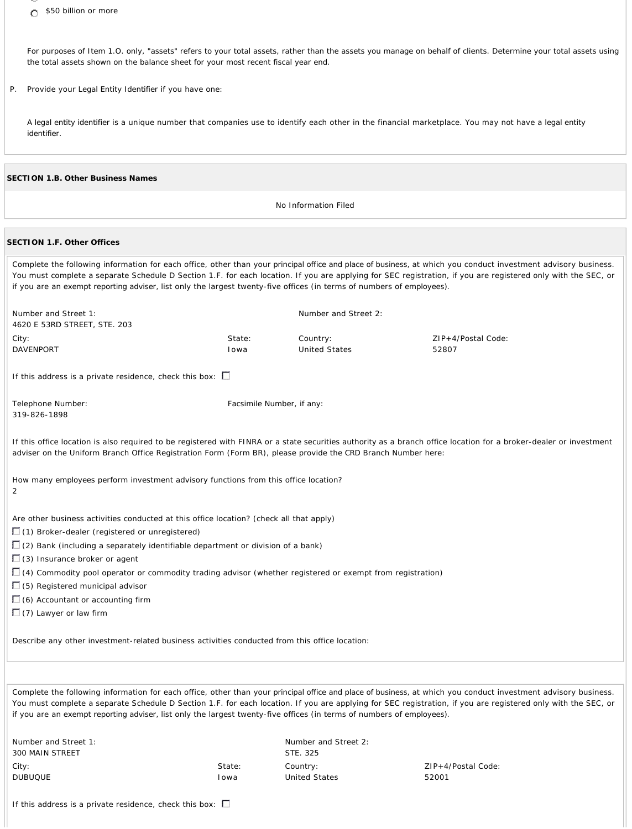| O. | \$50 billion or more |  |
|----|----------------------|--|

*For purposes of Item 1.O. only, "assets" refers to your total assets, rather than the assets you manage on behalf of clients. Determine your total assets using the total assets shown on the balance sheet for your most recent fiscal year end.*

P. Provide your *Legal Entity Identifier* if you have one:

A *legal entity identifier* is a unique number that companies use to identify each other in the financial marketplace. You may not have a *legal entity identifier*.

# **SECTION 1.B. Other Business Names**

No Information Filed

# **SECTION 1.F. Other Offices**

Complete the following information for each office, other than your *principal office and place of business*, at which you conduct investment advisory business. You must complete a separate Schedule D Section 1.F. for each location. If you are applying for SEC registration, if you are registered only with the SEC, or if you are an *exempt reporting adviser*, list only the largest twenty-five offices (in terms of numbers of *employees*).

| Number and Street 1:<br>4620 E 53RD STREET, STE. 203                                                                                                                                                                                                                               |                           | Number and Street 2: |                      |
|------------------------------------------------------------------------------------------------------------------------------------------------------------------------------------------------------------------------------------------------------------------------------------|---------------------------|----------------------|----------------------|
| City:                                                                                                                                                                                                                                                                              | State:                    | Country:             | $ZIP+4/Postal Code:$ |
| <b>DAVENPORT</b>                                                                                                                                                                                                                                                                   | Iowa                      | <b>United States</b> | 52807                |
| If this address is a private residence, check this box: $\square$                                                                                                                                                                                                                  |                           |                      |                      |
| Telephone Number:<br>319-826-1898                                                                                                                                                                                                                                                  | Facsimile Number, if any: |                      |                      |
| If this office location is also required to be registered with FINRA or a state securities authority as a branch office location for a broker-dealer or investment<br>adviser on the Uniform Branch Office Registration Form (Form BR), please provide the CRD Branch Number here: |                           |                      |                      |
| How many employees perform investment advisory functions from this office location?<br>2                                                                                                                                                                                           |                           |                      |                      |
| Are other business activities conducted at this office location? (check all that apply)                                                                                                                                                                                            |                           |                      |                      |
| $\Box$ (1) Broker-dealer (registered or unregistered)                                                                                                                                                                                                                              |                           |                      |                      |
| $\Box$ (2) Bank (including a separately identifiable department or division of a bank)                                                                                                                                                                                             |                           |                      |                      |
| $\Box$ (3) Insurance broker or agent                                                                                                                                                                                                                                               |                           |                      |                      |
| $\Box$ (4) Commodity pool operator or commodity trading advisor (whether registered or exempt from registration)                                                                                                                                                                   |                           |                      |                      |
| $\Box$ (5) Registered municipal advisor                                                                                                                                                                                                                                            |                           |                      |                      |
| $\Box$ (6) Accountant or accounting firm                                                                                                                                                                                                                                           |                           |                      |                      |
| $\Box$ (7) Lawyer or law firm                                                                                                                                                                                                                                                      |                           |                      |                      |
| Describe any other investment-related business activities conducted from this office location:                                                                                                                                                                                     |                           |                      |                      |
|                                                                                                                                                                                                                                                                                    |                           |                      |                      |

Complete the following information for each office, other than your *principal office and place of business*, at which you conduct investment advisory business. You must complete a separate Schedule D Section 1.F. for each location. If you are applying for SEC registration, if you are registered only with the SEC, or if you are an *exempt reporting adviser*, list only the largest twenty-five offices (in terms of numbers of *employees*).

| Number and Street 1: |
|----------------------|
| 300 MAIN STREET      |
| City:                |
| <b>DUBUOUE</b>       |
|                      |

Number and Street 2: STE. 325 Country: United States

State: Iowa

ZIP+4/Postal Code: 52001

If this address is a private residence, check this box:  $\square$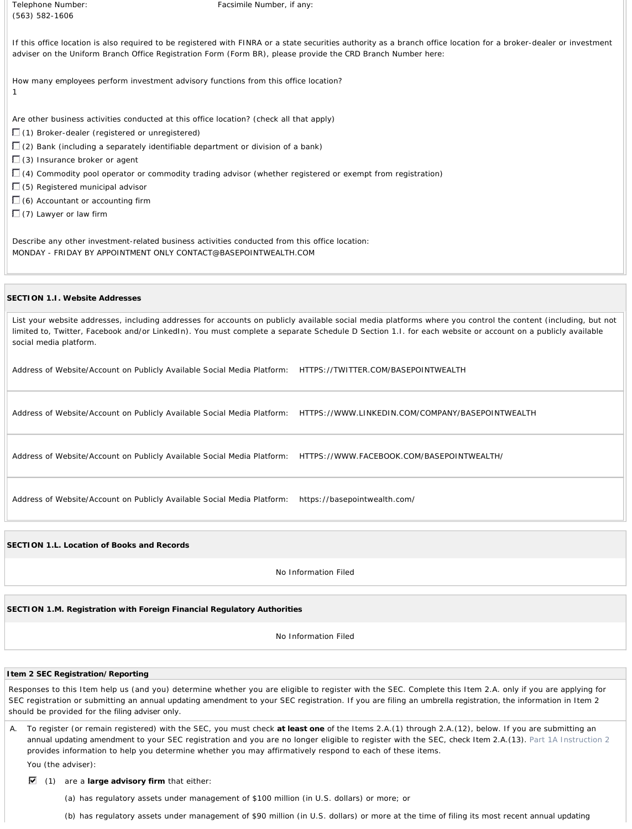Telephone Number: (563) 582-1606

1

Facsimile Number, if any:

If this office location is also required to be registered with FINRA or a *state securities authority* as a branch office location for a broker-dealer or investment adviser on the Uniform Branch Office Registration Form (Form BR), please provide the *CRD* Branch Number here:

How many *employees* perform investment advisory functions from this office location?

Are other business activities conducted at this office location? (check all that apply)

- $\Box$  (1) Broker-dealer (registered or unregistered)
- $\Box$  (2) Bank (including a separately identifiable department or division of a bank)
- $\Box$  (3) Insurance broker or agent
- $\Box$  (4) Commodity pool operator or commodity trading advisor (whether registered or exempt from registration)
- $\square$  (5) Registered municipal advisor
- $\Box$  (6) Accountant or accounting firm
- $\Box$  (7) Lawyer or law firm

Describe any other *investment-related* business activities conducted from this office location: MONDAY - FRIDAY BY APPOINTMENT ONLY CONTACT@BASEPOINTWEALTH.COM

## **SECTION 1.I. Website Addresses**

List your website addresses, including addresses for accounts on publicly available social media platforms where you control the content (including, but not limited to, Twitter, Facebook and/or LinkedIn). You must complete a separate Schedule D Section 1.I. for each website or account on a publicly available social media platform.

Address of Website/Account on Publicly Available Social Media Platform: HTTPS://TWITTER.COM/BASEPOINTWEALTH

Address of Website/Account on Publicly Available Social Media Platform: HTTPS://WWW.LINKEDIN.COM/COMPANY/BASEPOINTWEALTH

Address of Website/Account on Publicly Available Social Media Platform: HTTPS://WWW.FACEBOOK.COM/BASEPOINTWEALTH/

Address of Website/Account on Publicly Available Social Media Platform: https://basepointwealth.com/

**SECTION 1.L. Location of Books and Records**

No Information Filed

**SECTION 1.M. Registration with Foreign Financial Regulatory Authorities**

No Information Filed

### **Item 2 SEC Registration/Reporting**

Responses to this Item help us (and you) determine whether you are eligible to register with the SEC. Complete this Item 2.A. only if you are applying for SEC registration or submitting an *annual updating amendment* to your SEC registration. If you are filing an *umbrella registration*, the information in Item 2 should be provided for the *filing adviser* only.

A. To register (or remain registered) with the SEC, you must check **at least one** of the Items 2.A.(1) through 2.A.(12), below. If you are submitting an *annual updating amendment* to your SEC registration and you are no longer eligible to register with the SEC, check Item 2.A.(13). Part 1A Instruction 2 provides information to help you determine whether you may affirmatively respond to each of these items.

You (the adviser):

(1) are a **large advisory firm** that either:

- (a) has regulatory assets under management of \$100 million (in U.S. dollars) or more; or
- (b) has regulatory assets under management of \$90 million (in U.S. dollars) or more at the time of filing its most recent *annual updating*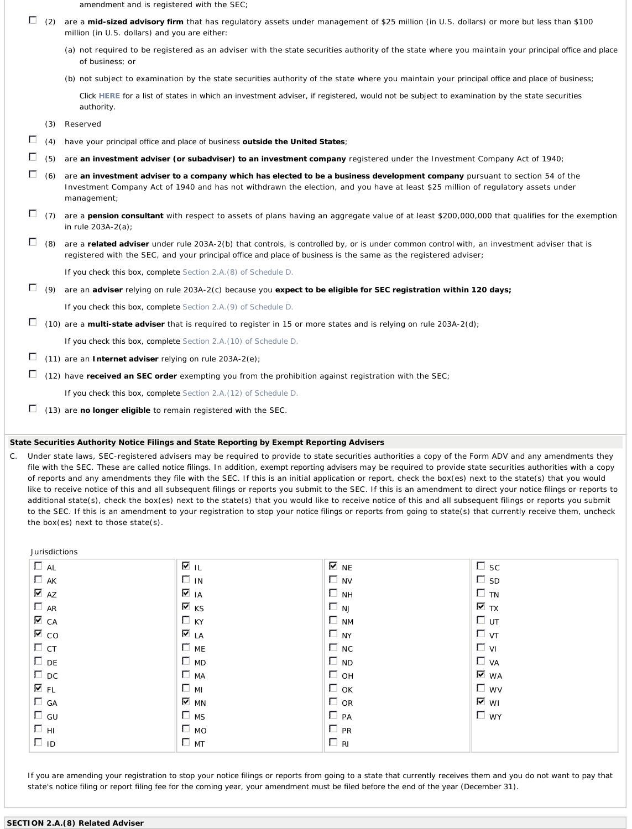*amendment* and is registered with the SEC;

- (2) are a **mid-sized advisory firm** that has regulatory assets under management of \$25 million (in U.S. dollars) or more but less than \$100 million (in U.S. dollars) and you are either:
	- (a) not required to be registered as an adviser with the *state securities authority* of the state where you maintain your *principal office and place of business*; or
	- (b) not subject to examination by the *state securities authority* of the state where you maintain your *principal office and place of business*;

*Click HERE for a list of states in which an investment adviser, if registered, would not be subject to examination by the state securities authority.*

- (3) Reserved
- П (4) have your *principal office and place of business* **outside the United States**;
- П (5) are **an investment adviser (or subadviser) to an investment company** registered under the Investment Company Act of 1940;
- Г (6) are **an investment adviser to a company which has elected to be a business development company** pursuant to section 54 of the Investment Company Act of 1940 and has not withdrawn the election, and you have at least \$25 million of regulatory assets under management;
- П (7) are a **pension consultant** with respect to assets of plans having an aggregate value of at least \$200,000,000 that qualifies for the exemption in rule 203A-2(a);
- П (8) are a **related adviser** under rule 203A-2(b) that *controls*, is *controlled* by, or is under common *control* with, an investment adviser that is registered with the SEC, and your *principal office and place of business* is the same as the registered adviser;

*If you check this box, complete Section 2.A.(8) of Schedule D.*

 $\Box$ (9) are an **adviser** relying on rule 203A-2(c) because you **expect to be eligible for SEC registration within 120 days;**

*If you check this box, complete Section 2.A.(9) of Schedule D.*

Г (10) are a **multi-state adviser** that is required to register in 15 or more states and is relying on rule 203A-2(d);

*If you check this box, complete Section 2.A.(10) of Schedule D.*

- Г (11) are an **Internet adviser** relying on rule 203A-2(e);
- П (12) have **received an SEC order** exempting you from the prohibition against registration with the SEC;

*If you check this box, complete Section 2.A.(12) of Schedule D.*

П (13) are **no longer eligible** to remain registered with the SEC.

### *State Securities Authority Notice Filings* **and State Reporting by** *Exempt Reporting Advisers*

C. Under state laws, SEC-registered advisers may be required to provide to *state securities authorities* a copy of the Form ADV and any amendments they file with the SEC. These are called *notice filings*. In addition, *exempt reporting advisers* may be required to provide *state securities authorities* with a copy of reports and any amendments they file with the SEC. If this is an initial application or report, check the box(es) next to the state(s) that you would like to receive notice of this and all subsequent filings or reports you submit to the SEC. If this is an amendment to direct your *notice filings* or reports to additional state(s), check the box(es) next to the state(s) that you would like to receive notice of this and all subsequent filings or reports you submit to the SEC. If this is an amendment to your registration to stop your *notice filings* or reports from going to state(s) that currently receive them, uncheck the box(es) next to those state(s).

| Jurisdictions      |                                    |                    |                                    |  |  |
|--------------------|------------------------------------|--------------------|------------------------------------|--|--|
| $\Box$ AL          | न प                                | $\triangledown$ ne | $\square$ sc                       |  |  |
| $\Box$ AK          | $\Box$ IN                          | $\Box$ NV          | $\Box$ SD                          |  |  |
| $\overline{V}$ AZ  | $\overline{\triangledown}$ IA      | $\Box$ NH          | $\Box$ TN                          |  |  |
| $\Box$ AR          | $\overline{\blacksquare}$ KS       | $\Box$ NJ          | $\overline{\mathbf{v}}$ tx         |  |  |
| $\triangledown$ CA | $\Box$ KY                          | $\Box$ NM          | $\Box$ UT                          |  |  |
| $\triangledown$ CO | V LA                               | $\Box$ NY          | $\Box$ vt                          |  |  |
| $\Box$ CT          | $\Box$ ME                          | $\Box$ NC          | $\Box$ vi                          |  |  |
| $\Box$ DE          | $\Box$ MD                          | $\Box$ ND          | $\Box$ VA                          |  |  |
| $\square$ DC       | $\Box$ MA                          | $\Box$ OH          | $\overline{\triangledown}$ WA      |  |  |
| ⊽ FL               | $\Box$ MI                          | $\Box$ ok          | $\square$ wv                       |  |  |
| $\Box$ GA          | $\overline{\blacktriangledown}$ MN | $\square$ OR       | $\overline{\blacktriangledown}$ wi |  |  |
| $\Box$ GU          | $\square$ MS                       | $\Box$ PA          | $\Box$ WY                          |  |  |
| ⊡нг                | $\square$ MO                       | $\Box$ PR          |                                    |  |  |
| $\Box$ ID          | $\Box$ MT                          | $\Box$ RI          |                                    |  |  |

*If you are amending your registration to stop your notice filings or reports from going to a state that currently receives them and you do not want to pay that state's notice filing or report filing fee for the coming year, your amendment must be filed before the end of the year (December 31).*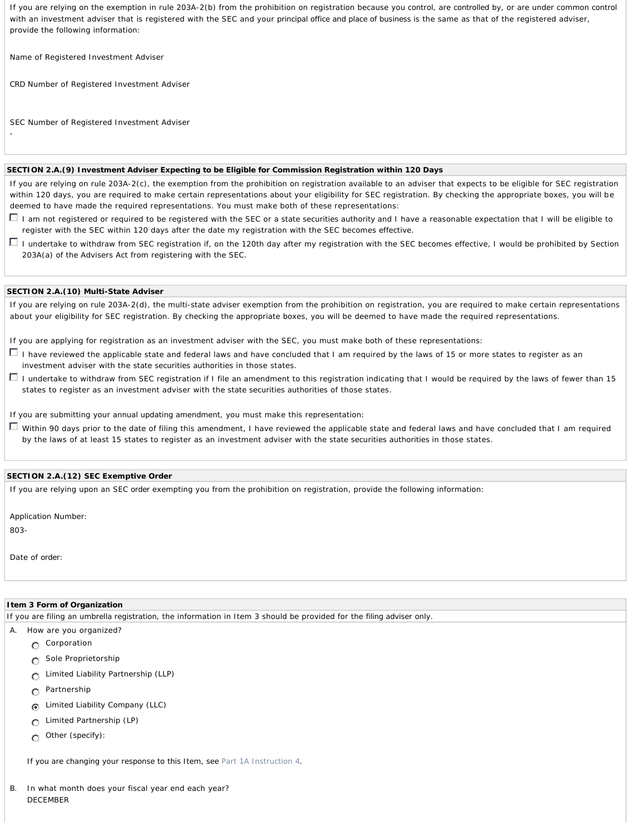If you are relying on the exemption in rule 203A-2(b) from the prohibition on registration because you *control*, are *controlled* by, or are under common *control* with an investment adviser that is registered with the SEC and your *principal office and place of business* is the same as that of the registered adviser, provide the following information:

Name of Registered Investment Adviser

*CRD* Number of Registered Investment Adviser

SEC Number of Registered Investment Adviser

## **SECTION 2.A.(9) Investment Adviser Expecting to be Eligible for Commission Registration within 120 Days**

If you are relying on rule 203A-2(c), the exemption from the prohibition on registration available to an adviser that expects to be eligible for SEC registration within 120 days, you are required to make certain representations about your eligibility for SEC registration. By checking the appropriate boxes, you will be deemed to have made the required representations. You must make both of these representations:

- I am not registered or required to be registered with the SEC or a *state securities authority* and I have a reasonable expectation that I will be eligible to register with the SEC within 120 days after the date my registration with the SEC becomes effective.
- I undertake to withdraw from SEC registration if, on the 120th day after my registration with the SEC becomes effective, I would be prohibited by Section 203A(a) of the Advisers Act from registering with the SEC.

### **SECTION 2.A.(10) Multi-State Adviser**

If you are relying on rule 203A-2(d), the multi-state adviser exemption from the prohibition on registration, you are required to make certain representations about your eligibility for SEC registration. By checking the appropriate boxes, you will be deemed to have made the required representations.

If you are applying for registration as an investment adviser with the SEC, you must make both of these representations:

- I have reviewed the applicable state and federal laws and have concluded that I am required by the laws of 15 or more states to register as an investment adviser with the *state securities authorities* in those states.
- I undertake to withdraw from SEC registration if I file an amendment to this registration indicating that I would be required by the laws of fewer than 15 states to register as an investment adviser with the *state securities authorities* of those states.

If you are submitting your *annual updating amendment*, you must make this representation:

Within 90 days prior to the date of filing this amendment, I have reviewed the applicable state and federal laws and have concluded that I am required by the laws of at least 15 states to register as an investment adviser with the *state securities authorities* in those states.

## **SECTION 2.A.(12) SEC Exemptive** *Order*

If you are relying upon an SEC *order* exempting you from the prohibition on registration, provide the following information:

Application Number:

803-

-

Date of *order*:

### **Item 3 Form of Organization**

If you are filing an *umbrella registration*, the information in Item 3 should be provided for the *filing adviser* only.

- A. How are you organized?
	- **C** Corporation
	- **Sole Proprietorship**
	- Limited Liability Partnership (LLP)  $\circ$
	- **Partnership**
	- Limited Liability Company (LLC)  $\odot$
	- Limited Partnership (LP) O
	- Other (specify): O.

*If you are changing your response to this Item, see Part 1A Instruction 4.*

B. In what month does your fiscal year end each year? DECEMBER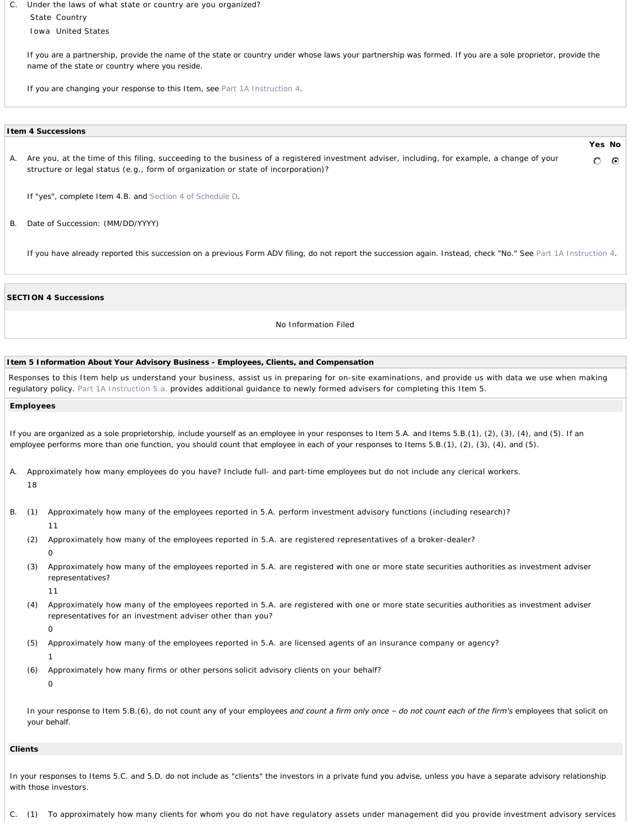C. Under the laws of what state or country are you organized?

State Country

Iowa United States

*If you are a partnership, provide the name of the state or country under whose laws your partnership was formed. If you are a sole proprietor, provide the name of the state or country where you reside.* 

*If you are changing your response to this Item, see Part 1A Instruction 4.* 

### **Item 4 Successions**

A. Are you, at the time of this filing, succeeding to the business of a registered investment adviser, including, for example, a change of your structure or legal status (e.g., form of organization or state of incorporation)?

*If "yes", complete Item 4.B. and Section 4 of Schedule D.*

B. Date of Succession: (MM/DD/YYYY)

*If you have already reported this succession on a previous Form ADV filing, do not report the succession again. Instead, check "No." See Part 1A Instruction 4.*

**Yes No**

 $\odot$ 

O

**SECTION 4 Successions**

No Information Filed

### **Item 5 Information About Your Advisory Business - Employees, Clients, and Compensation**

Responses to this Item help us understand your business, assist us in preparing for on-site examinations, and provide us with data we use when making regulatory policy. Part 1A Instruction 5.a. provides additional guidance to newly formed advisers for completing this Item 5.

## *Employees*

*If you are organized as a sole proprietorship, include yourself as an employee in your responses to Item 5.A. and Items 5.B.(1), (2), (3), (4), and (5). If an employee performs more than one function, you should count that employee in each of your responses to Items 5.B.(1), (2), (3), (4), and (5).*

- Approximately how many *employees* do you have? Include full- and part-time *employees* but do not include any clerical workers. 18
- B. (1) Approximately how many of the *employees* reported in 5.A. perform investment advisory functions (including research)?
	- 11
	- (2) Approximately how many of the *employees* reported in 5.A. are registered representatives of a broker-dealer?  $\Omega$
	- (3) Approximately how many of the *employees* reported in 5.A. are registered with one or more *state securities authorities* as *investment adviser representatives*?
		- 11
	- (4) Approximately how many of the *employees* reported in 5.A. are registered with one or more *state securities authorities* as *investment adviser representatives* for an investment adviser other than you?
		- $\Omega$

1

- (5) Approximately how many of the *employees* reported in 5.A. are licensed agents of an insurance company or agency?
- (6) Approximately how many firms or other *persons* solicit advisory *clients* on your behalf?

0

In your response to Item 5.B.(6), do not count any of your employees and count a firm only once - do not count each of the firm's employees that solicit on *your behalf.*

## *Clients*

*In your responses to Items 5.C. and 5.D. do not include as "clients" the investors in a private fund you advise, unless you have a separate advisory relationship with those investors.*

C. (1) To approximately how many *clients* for whom you do not have regulatory assets under management did you provide investment advisory services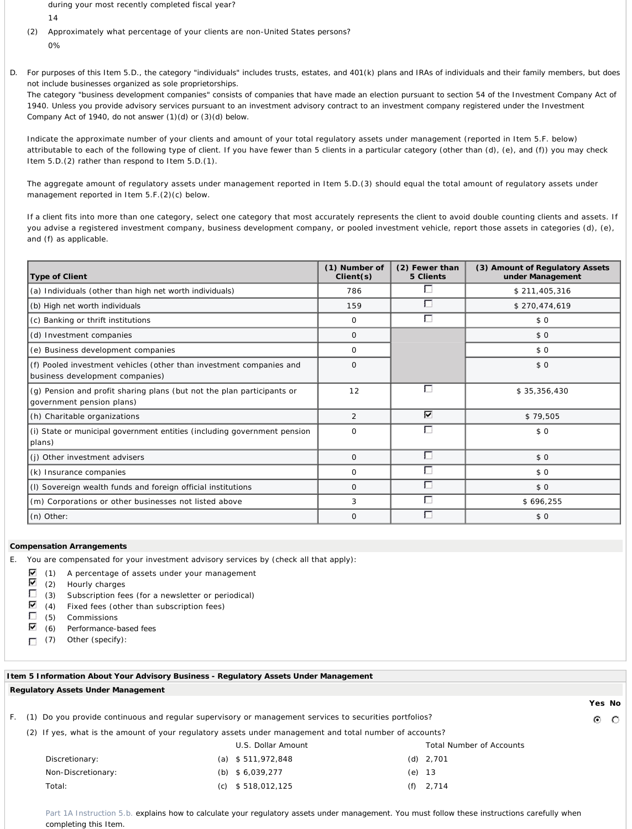during your most recently completed fiscal year? 14

- (2) Approximately what percentage of your *clients* are non-*United States persons*? 0%
- D. *For purposes of this Item 5.D., the category "individuals" includes trusts, estates, and 401(k) plans and IRAs of individuals and their family members, but does not include businesses organized as sole proprietorships.*

*The category "business development companies" consists of companies that have made an election pursuant to section 54 of the Investment Company Act of 1940. Unless you provide advisory services pursuant to an investment advisory contract to an investment company registered under the Investment Company Act of 1940, do not answer (1)(d) or (3)(d) below.*

Indicate the approximate number of your *clients* and amount of your total regulatory assets under management (reported in Item 5.F. below) attributable to each of the following type of *client*. If you have fewer than 5 *clients* in a particular category (other than (d), (e), and (f)) you may check Item 5.D.(2) rather than respond to Item 5.D.(1).

The aggregate amount of regulatory assets under management reported in Item 5.D.(3) should equal the total amount of regulatory assets under management reported in Item 5.F.(2)(c) below.

If a *client* fits into more than one category, select one category that most accurately represents the *client* to avoid double counting *clients* and assets. If you advise a registered investment company, business development company, or pooled investment vehicle, report those assets in categories (d), (e), and (f) as applicable.

| Type of Client                                                                                         | (1) Number of<br>Client(s) | (2) Fewer than<br>5 Clients | (3) Amount of Regulatory Assets<br>under Management |
|--------------------------------------------------------------------------------------------------------|----------------------------|-----------------------------|-----------------------------------------------------|
| (a) Individuals (other than high net worth individuals)                                                | 786                        | г                           | \$211,405,316                                       |
| (b) High net worth individuals                                                                         | 159                        | г                           | \$270,474,619                                       |
| (c) Banking or thrift institutions                                                                     | $\circ$                    | Г                           | \$0                                                 |
| (d) Investment companies                                                                               | $\circ$                    |                             | \$0                                                 |
| (e) Business development companies                                                                     | $\overline{O}$             |                             | \$0                                                 |
| (f) Pooled investment vehicles (other than investment companies and<br>business development companies) | $\overline{O}$             |                             | \$0                                                 |
| (g) Pension and profit sharing plans (but not the plan participants or<br>government pension plans)    | 12                         | Г                           | \$35,356,430                                        |
| (h) Charitable organizations                                                                           | $\overline{2}$             | ⊽                           | \$79,505                                            |
| (i) State or municipal <i>government entities</i> (including government pension<br>plans)              | $\overline{O}$             | Г                           | \$0                                                 |
| (j) Other investment advisers                                                                          | $\circ$                    | г                           | \$0                                                 |
| (k) Insurance companies                                                                                | $\circ$                    | г                           | \$0                                                 |
| (I) Sovereign wealth funds and foreign official institutions                                           | $\overline{O}$             | г                           | \$0                                                 |
| (m) Corporations or other businesses not listed above                                                  | 3                          | Г                           | \$696,255                                           |
| (n) Other:                                                                                             | $\overline{O}$             | Г                           | \$0                                                 |

### **Compensation Arrangements**

E. You are compensated for your investment advisory services by (check all that apply):

- (1) A percentage of assets under your management
- $\overline{\mathbf{v}}$ (2) Hourly charges
- П (3) Subscription fees (for a newsletter or periodical)
- $\overline{\mathbf{v}}$ (4) Fixed fees (other than subscription fees)
- П (5) Commissions
- ⊽ (6) *Performance-based fees*
- $\Box$ (7) Other (specify):

## **Item 5 Information About Your Advisory Business - Regulatory Assets Under Management**

**Regulatory Assets Under Management Yes No** F. (1) Do you provide continuous and regular supervisory or management services to securities portfolios?  $\odot$ - 0 (2) If yes, what is the amount of your regulatory assets under management and total number of accounts? U.S. Dollar Amount Total Number of Accounts Discretionary: (a) \$ 511,972,848 (d) 2,701 Non-Discretionary: (b) \$6,039,277 (e) 13 Total: (c) \$ 518,012,125 (f) 2,714

*Part 1A Instruction 5.b. explains how to calculate your regulatory assets under management. You must follow these instructions carefully when completing this Item.*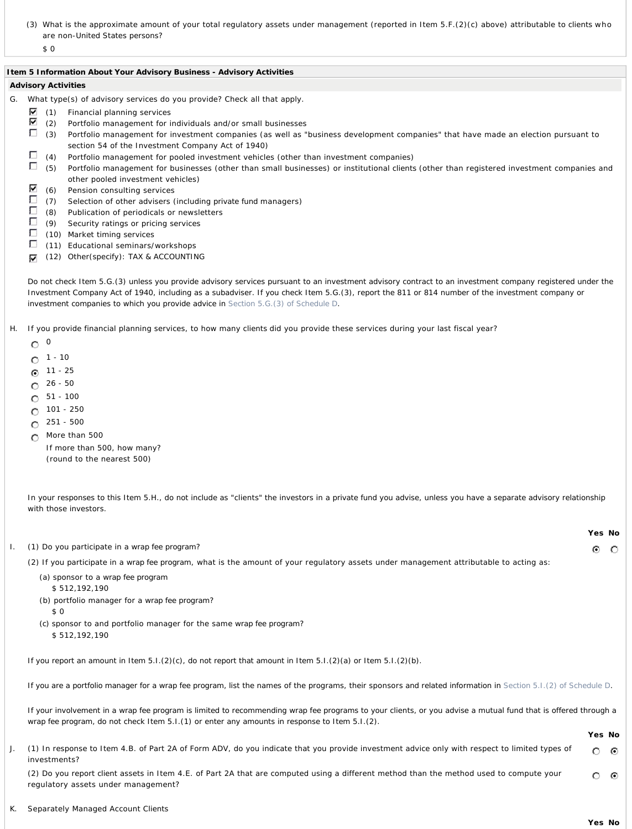- (3) What is the approximate amount of your total regulatory assets under management (reported in Item 5.F.(2)(c) above) attributable to *clients* who are non-*United States persons*?
	- \$ 0

## **Item 5 Information About Your Advisory Business - Advisory Activities**

## **Advisory Activities**

- G. What type(s) of advisory services do you provide? Check all that apply.
	- ⊽ (1) Financial planning services
	- ⊽ (2) Portfolio management for individuals and/or small businesses
	- $\Box$ (3) Portfolio management for investment companies (as well as "business development companies" that have made an election pursuant to section 54 of the Investment Company Act of 1940)
	- Г (4) Portfolio management for pooled investment vehicles (other than investment companies)
	- П (5) Portfolio management for businesses (other than small businesses) or institutional *clients* (other than registered investment companies and other pooled investment vehicles)
	- ⊽ (6) Pension consulting services
	- П (7) Selection of other advisers (including *private fund* managers)
	- П (8) Publication of periodicals or newsletters
	- П (9) Security ratings or pricing services
	- г (10) Market timing services
	- П (11) Educational seminars/workshops
	- ⊽ (12) Other(specify): TAX & ACCOUNTING

*Do not check Item 5.G.(3) unless you provide advisory services pursuant to an investment advisory contract to an investment company registered under the Investment Company Act of 1940, including as a subadviser. If you check Item 5.G.(3), report the 811 or 814 number of the investment company or investment companies to which you provide advice in Section 5.G.(3) of Schedule D.* 

- H. If you provide financial planning services, to how many *clients* did you provide these services during your last fiscal year?
	- 0  $\circ$
	- $O<sup>1 10</sup>$
	- 11 25 ۵
	- 26 50  $\circ$
	- 51 100  $\circ$
	- 101 250  $\circ$
	- 251 500  $\circ$
	- More than 500  $\circ$

If more than 500, how many? (round to the nearest 500)

*In your responses to this Item 5.H., do not include as "clients" the investors in a private fund you advise, unless you have a separate advisory relationship with those investors.* 

|    |                                                                                                                                                                                                                                                                | Yes No |                 |
|----|----------------------------------------------------------------------------------------------------------------------------------------------------------------------------------------------------------------------------------------------------------------|--------|-----------------|
| Ι. | (1) Do you participate in a wrap fee program?                                                                                                                                                                                                                  |        | $\circ$ $\circ$ |
|    | (2) If you participate in a wrap fee program, what is the amount of your regulatory assets under management attributable to acting as:                                                                                                                         |        |                 |
|    | (a) sponsor to a wrap fee program<br>\$512,192,190                                                                                                                                                                                                             |        |                 |
|    | (b) portfolio manager for a wrap fee program?<br>\$0                                                                                                                                                                                                           |        |                 |
|    | (c) sponsor to and portfolio manager for the same wrap fee program?<br>\$512,192,190                                                                                                                                                                           |        |                 |
|    | If you report an amount in Item 5.1.(2)(c), do not report that amount in Item 5.1.(2)(a) or Item 5.1.(2)(b).                                                                                                                                                   |        |                 |
|    | If you are a portfolio manager for a wrap fee program, list the names of the programs, their sponsors and related information in Section 5.1.(2) of Schedule D.                                                                                                |        |                 |
|    | If your involvement in a wrap fee program is limited to recommending wrap fee programs to your clients, or you advise a mutual fund that is offered through a<br>wrap fee program, do not check Item 5.1.(1) or enter any amounts in response to Item 5.1.(2). |        |                 |
|    |                                                                                                                                                                                                                                                                | Yes No |                 |
|    | (1) In response to Item 4.B. of Part 2A of Form ADV, do you indicate that you provide investment advice only with respect to limited types of<br>investments?                                                                                                  |        | $\circ$ $\circ$ |
|    | (2) Do you report client assets in Item 4.E. of Part 2A that are computed using a different method than the method used to compute your<br>regulatory assets under management?                                                                                 |        | $\circ$ $\circ$ |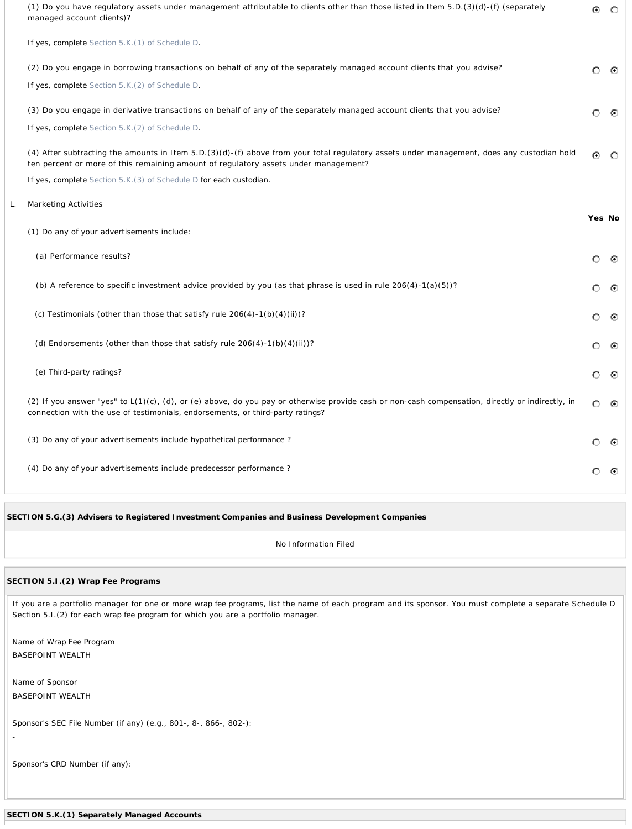|    | (1) Do you have regulatory assets under management attributable to clients other than those listed in Item 5.D.(3)(d)-(f) (separately<br>managed account clients)?                                                                 | $\odot$ | $\circ$ |
|----|------------------------------------------------------------------------------------------------------------------------------------------------------------------------------------------------------------------------------------|---------|---------|
|    | If yes, complete Section 5.K. (1) of Schedule D.                                                                                                                                                                                   |         |         |
|    | (2) Do you engage in borrowing transactions on behalf of any of the separately managed account clients that you advise?                                                                                                            | $\circ$ | ⊙       |
|    | If yes, complete Section 5.K. (2) of Schedule D.                                                                                                                                                                                   |         |         |
|    | (3) Do you engage in derivative transactions on behalf of any of the separately managed account clients that you advise?                                                                                                           | О       | ⊙       |
|    | If yes, complete Section 5.K. (2) of Schedule D.                                                                                                                                                                                   |         |         |
|    | (4) After subtracting the amounts in Item 5.D.(3)(d)-(f) above from your total regulatory assets under management, does any custodian hold<br>ten percent or more of this remaining amount of regulatory assets under management?  | $\odot$ | $\circ$ |
|    | If yes, complete Section 5.K. (3) of Schedule D for each custodian.                                                                                                                                                                |         |         |
| L. | Marketing Activities                                                                                                                                                                                                               |         |         |
|    | (1) Do any of your advertisements include:                                                                                                                                                                                         |         | Yes No  |
|    | (a) Performance results?                                                                                                                                                                                                           | $\circ$ | ⊙       |
|    | (b) A reference to specific investment advice provided by you (as that phrase is used in rule $206(4)$ -1(a)(5))?                                                                                                                  | О       | ⊙       |
|    | (c) Testimonials (other than those that satisfy rule $206(4)-1(b)(4)(ii)$ ?                                                                                                                                                        | О       | ⊙       |
|    | (d) Endorsements (other than those that satisfy rule 206(4)-1(b)(4)(ii))?                                                                                                                                                          | О       | ⊙       |
|    | (e) Third-party ratings?                                                                                                                                                                                                           | $\circ$ | ⊙       |
|    | (2) If you answer "yes" to L(1)(c), (d), or (e) above, do you pay or otherwise provide cash or non-cash compensation, directly or indirectly, in<br>connection with the use of testimonials, endorsements, or third-party ratings? | $\circ$ | ⊙       |
|    | (3) Do any of your advertisements include hypothetical performance?                                                                                                                                                                | $\circ$ | ⊙       |
|    | (4) Do any of your advertisements include predecessor performance?                                                                                                                                                                 |         | ⊙       |
|    |                                                                                                                                                                                                                                    |         |         |
|    | SECTION 5.G.(3) Advisers to Registered Investment Companies and Business Development Companies                                                                                                                                     |         |         |

No Information Filed

## **SECTION 5.I.(2)** *Wrap Fee Programs*

If you are a portfolio manager for one or more *wrap fee programs*, list the name of each program and its *sponsor*. You must complete a separate Schedule D Section 5.I.(2) for each *wrap fee program* for which you are a portfolio manager.

Name of *Wrap Fee Program* BASEPOINT WEALTH

Name of *Sponsor* BASEPOINT WEALTH

-

*Sponsor's* SEC File Number (if any) (e.g., 801-, 8-, 866-, 802-):

*Sponsor's CRD* Number (if any):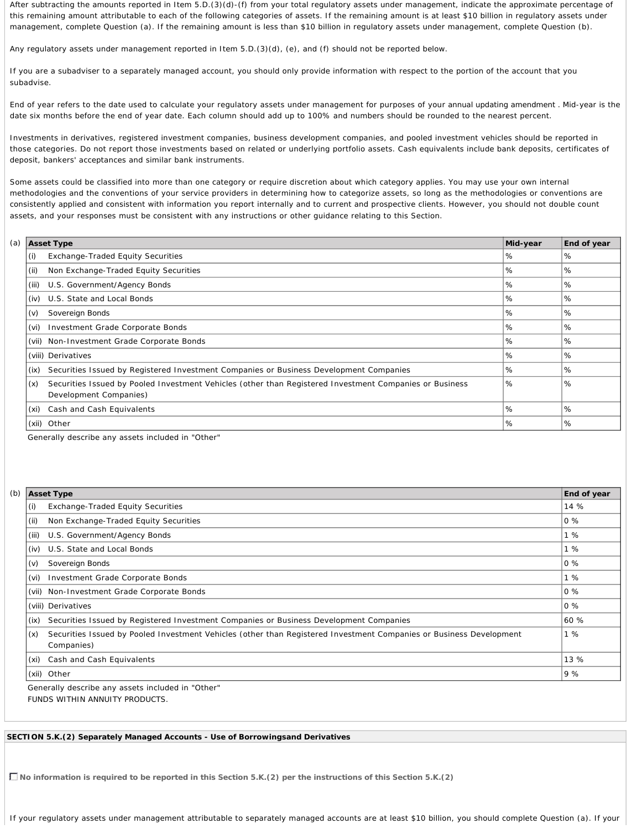After subtracting the amounts reported in Item 5.D.(3)(d)-(f) from your total regulatory assets under management, indicate the approximate percentage of this remaining amount attributable to each of the following categories of assets. If the remaining amount is at least \$10 billion in regulatory assets under management, complete Question (a). If the remaining amount is less than \$10 billion in regulatory assets under management, complete Question (b).

Any regulatory assets under management reported in Item 5.D.(3)(d), (e), and (f) should not be reported below.

If you are a subadviser to a separately managed account, you should only provide information with respect to the portion of the account that you subadvise.

End of year refers to the date used to calculate your regulatory assets under management for purposes of your *annual updating amendment* . Mid-year is the date six months before the end of year date. Each column should add up to 100% and numbers should be rounded to the nearest percent.

Investments in derivatives, registered investment companies, business development companies, and pooled investment vehicles should be reported in those categories. Do not report those investments based on related or underlying portfolio assets. Cash equivalents include bank deposits, certificates of deposit, bankers' acceptances and similar bank instruments.

Some assets could be classified into more than one category or require discretion about which category applies. You may use your own internal methodologies and the conventions of your service providers in determining how to categorize assets, so long as the methodologies or conventions are consistently applied and consistent with information you report internally and to current and prospective clients. However, you should not double count assets, and your responses must be consistent with any instructions or other guidance relating to this Section.

| (a)   | <b>Asset Type</b>                                                                                                                 | Mid-year | End of year  |
|-------|-----------------------------------------------------------------------------------------------------------------------------------|----------|--------------|
| (i)   | Exchange-Traded Equity Securities                                                                                                 | %        | %            |
| (i)   | Non Exchange-Traded Equity Securities                                                                                             | %        | %            |
| (iii) | U.S. Government/Agency Bonds                                                                                                      | %        | %            |
| (iv)  | U.S. State and Local Bonds                                                                                                        | %        | %            |
| (v)   | Sovereign Bonds                                                                                                                   | %        | %            |
| (vi)  | Investment Grade Corporate Bonds                                                                                                  | %        | %            |
|       | (vii) Non-Investment Grade Corporate Bonds                                                                                        | %        | %            |
|       | (viii) Derivatives                                                                                                                | %        | %            |
| (ix)  | Securities Issued by Registered Investment Companies or Business Development Companies                                            | %        | $\%$         |
| (x)   | Securities Issued by Pooled Investment Vehicles (other than Registered Investment Companies or Business<br>Development Companies) | %        | %            |
| (xi)  | Cash and Cash Equivalents                                                                                                         | $\%$     | $\%$         |
|       | (xii) Other                                                                                                                       | %        | $^{\circ}\%$ |

Generally describe any assets included in "Other"

| (b)   | <b>Asset Type</b>                                                                                                                 | <b>End of year</b> |
|-------|-----------------------------------------------------------------------------------------------------------------------------------|--------------------|
| (i)   | <b>Exchange-Traded Equity Securities</b>                                                                                          | 14 %               |
| (i)   | Non Exchange-Traded Equity Securities                                                                                             | $10\%$             |
| (iii) | U.S. Government/Agency Bonds                                                                                                      | 1 %                |
| (iv)  | U.S. State and Local Bonds                                                                                                        | 1 %                |
| (v)   | Sovereign Bonds                                                                                                                   | $10\%$             |
| (vi)  | Investment Grade Corporate Bonds                                                                                                  | 1%                 |
|       | (vii) Non-Investment Grade Corporate Bonds                                                                                        | $10\%$             |
|       | (viii) Derivatives                                                                                                                | l 0 %              |
| (ix)  | Securities Issued by Registered Investment Companies or Business Development Companies                                            | 60 %               |
| (x)   | Securities Issued by Pooled Investment Vehicles (other than Registered Investment Companies or Business Development<br>Companies) | 1 %                |
| (xi)  | Cash and Cash Equivalents                                                                                                         | 13 %               |
|       | (xii) Other                                                                                                                       | 9%                 |

Generally describe any assets included in "Other" FUNDS WITHIN ANNUITY PRODUCTS.

**SECTION 5.K.(2) Separately Managed Accounts - Use of** *Borrowings***and Derivatives**

**No information is required to be reported in this Section 5.K.(2) per the instructions of this Section 5.K.(2)**

If your regulatory assets under management attributable to separately managed accounts are at least \$10 billion, you should complete Question (a). If your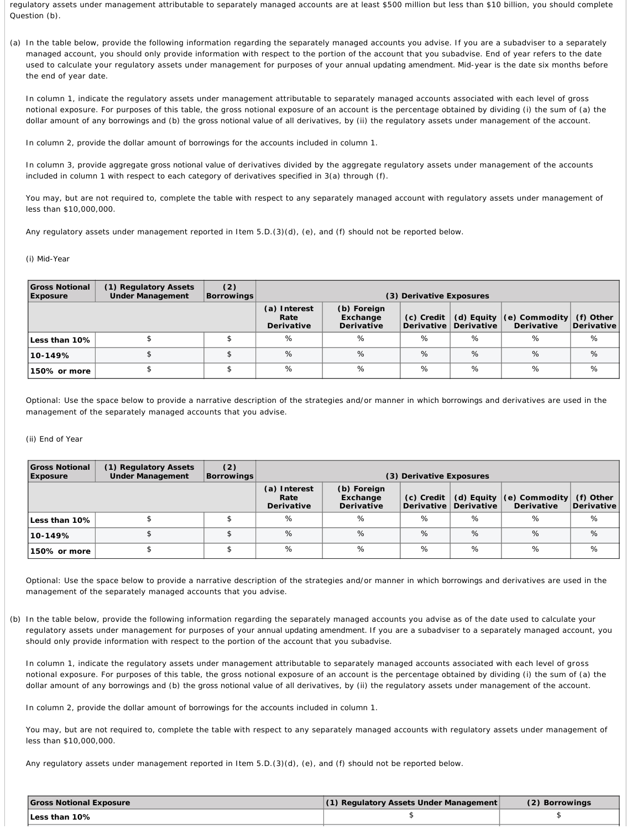regulatory assets under management attributable to separately managed accounts are at least \$500 million but less than \$10 billion, you should complete Question (b).

(a) In the table below, provide the following information regarding the separately managed accounts you advise. If you are a subadviser to a separately managed account, you should only provide information with respect to the portion of the account that you subadvise. End of year refers to the date used to calculate your regulatory assets under management for purposes of your *annual updating amendment*. Mid-year is the date six months before the end of year date.

In column 1, indicate the regulatory assets under management attributable to separately managed accounts associated with each level of gross notional exposure. For purposes of this table, the gross notional exposure of an account is the percentage obtained by dividing (i) the sum of (a) the dollar amount of any *borrowings* and (b) the *gross notional value* of all derivatives, by (ii) the regulatory assets under management of the account.

In column 2, provide the dollar amount of *borrowings* for the accounts included in column 1.

In column 3, provide aggregate *gross notional value* of derivatives divided by the aggregate regulatory assets under management of the accounts included in column 1 with respect to each category of derivatives specified in 3(a) through (f).

You may, but are not required to, complete the table with respect to any separately managed account with regulatory assets under management of less than \$10,000,000.

Any regulatory assets under management reported in Item 5.D.(3)(d), (e), and (f) should not be reported below.

### (i) Mid-Year

| <b>Gross Notional</b><br><b>Exposure</b> | (1) Regulatory Assets<br><b>Under Management</b> | (2)<br><b>Borrowings</b> | (3) Derivative Exposures           |                                       |            |                       |                                            |                         |
|------------------------------------------|--------------------------------------------------|--------------------------|------------------------------------|---------------------------------------|------------|-----------------------|--------------------------------------------|-------------------------|
|                                          |                                                  |                          | (a) Interest<br>Rate<br>Derivative | (b) Foreign<br>Exchange<br>Derivative | (c) Credit | Derivative Derivative | (d) Equity $ $ (e) Commodity<br>Derivative | (f) Other<br>Derivative |
| Less than 10%                            |                                                  |                          | %                                  | %                                     | %          | $\%$                  | %                                          | %                       |
| $10 - 149%$                              |                                                  |                          | $\%$                               | %                                     | %          | $\%$                  | %                                          | %                       |
| 150% or more                             |                                                  |                          | %                                  | %                                     | %          | $\%$                  | %                                          | %                       |

Optional: Use the space below to provide a narrative description of the strategies and/or manner in which *borrowings* and derivatives are used in the management of the separately managed accounts that you advise.

(ii) End of Year

| <b>Gross Notional</b><br><b>Exposure</b> | (1) Regulatory Assets<br><b>Under Management</b> | (2)<br><b>Borrowings</b> | (3) Derivative Exposures           |                                       |                          |            |                                                |                         |
|------------------------------------------|--------------------------------------------------|--------------------------|------------------------------------|---------------------------------------|--------------------------|------------|------------------------------------------------|-------------------------|
|                                          |                                                  |                          | (a) Interest<br>Rate<br>Derivative | (b) Foreign<br>Exchange<br>Derivative | (c) Credit<br>Derivative | Derivative | (d) Equity $ e\rangle$ Commodity<br>Derivative | (f) Other<br>Derivative |
| Less than 10%                            |                                                  |                          | %                                  | %                                     | %                        | $\%$       | %                                              | %                       |
| $10 - 149%$                              |                                                  |                          | %                                  | %                                     | %                        | $\%$       | %                                              | %                       |
| 150% or more                             |                                                  |                          | %                                  | %                                     | %                        | %          | %                                              | %                       |

Optional: Use the space below to provide a narrative description of the strategies and/or manner in which *borrowings* and derivatives are used in the management of the separately managed accounts that you advise.

(b) In the table below, provide the following information regarding the separately managed accounts you advise as of the date used to calculate your regulatory assets under management for purposes of your *annual updating amendment*. If you are a subadviser to a separately managed account, you should only provide information with respect to the portion of the account that you subadvise.

In column 1, indicate the regulatory assets under management attributable to separately managed accounts associated with each level of gross notional exposure. For purposes of this table, the gross notional exposure of an account is the percentage obtained by dividing (i) the sum of (a) the dollar amount of any *borrowings* and (b) the *gross notional value* of all derivatives, by (ii) the regulatory assets under management of the account.

In column 2, provide the dollar amount of *borrowings* for the accounts included in column 1.

You may, but are not required to, complete the table with respect to any separately managed accounts with regulatory assets under management of less than \$10,000,000.

Any regulatory assets under management reported in Item 5.D.(3)(d), (e), and (f) should not be reported below.

| <b>Gross Notional Exposure</b> | $\vert$ (1) Regulatory Assets Under Management $\vert$ | (2) Borrowings |
|--------------------------------|--------------------------------------------------------|----------------|
| Less than 10%                  |                                                        |                |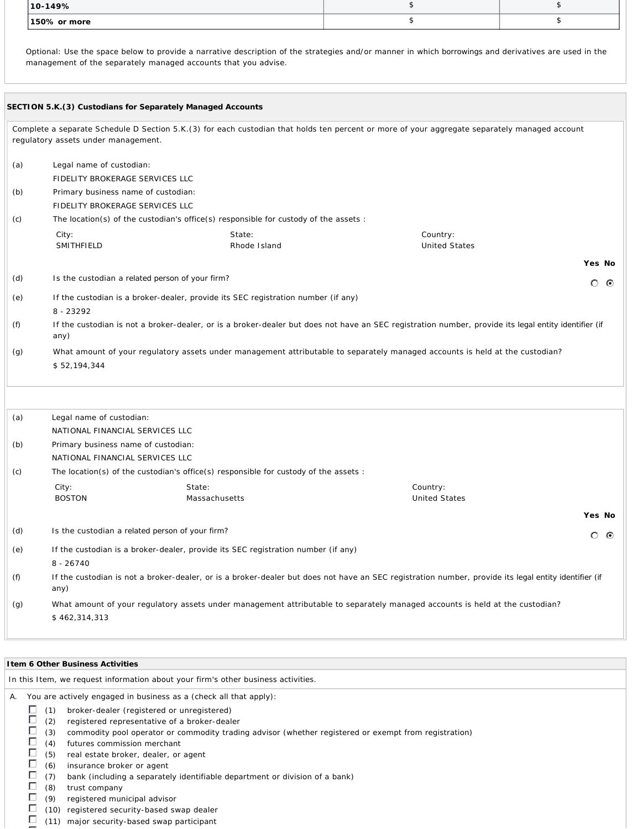| $-149%$<br>$10 -$ |  |
|-------------------|--|
| $150\%$ or more   |  |

Optional: Use the space below to provide a narrative description of the strategies and/or manner in which *borrowings* and derivatives are used in the management of the separately managed accounts that you advise.

|           | regulatory assets under management.             |                                                                                      | Complete a separate Schedule D Section 5.K.(3) for each custodian that holds ten percent or more of your aggregate separately managed account        |              |  |  |  |
|-----------|-------------------------------------------------|--------------------------------------------------------------------------------------|------------------------------------------------------------------------------------------------------------------------------------------------------|--------------|--|--|--|
| (a)       | Legal name of custodian:                        |                                                                                      |                                                                                                                                                      |              |  |  |  |
|           | FIDELITY BROKERAGE SERVICES LLC                 |                                                                                      |                                                                                                                                                      |              |  |  |  |
| (b)       | Primary business name of custodian:             |                                                                                      |                                                                                                                                                      |              |  |  |  |
|           | FIDELITY BROKERAGE SERVICES LLC                 |                                                                                      |                                                                                                                                                      |              |  |  |  |
| (c)       |                                                 | The location(s) of the custodian's office(s) responsible for custody of the assets : |                                                                                                                                                      |              |  |  |  |
|           | City:<br>SMITHFIELD                             | State:<br>Rhode Island                                                               | Country:<br><b>United States</b>                                                                                                                     |              |  |  |  |
|           |                                                 |                                                                                      |                                                                                                                                                      | Yes No       |  |  |  |
| (d)       | Is the custodian a related person of your firm? |                                                                                      |                                                                                                                                                      | $\circ$<br>⊙ |  |  |  |
|           |                                                 |                                                                                      |                                                                                                                                                      |              |  |  |  |
| (e)       | $8 - 23292$                                     | If the custodian is a broker-dealer, provide its SEC registration number (if any)    |                                                                                                                                                      |              |  |  |  |
| (f)       | any)                                            |                                                                                      | If the custodian is not a broker-dealer, or is a broker-dealer but does not have an SEC registration number, provide its legal entity identifier (if |              |  |  |  |
| (g)       | \$52,194,344                                    |                                                                                      | What amount of your regulatory assets under management attributable to separately managed accounts is held at the custodian?                         |              |  |  |  |
|           |                                                 |                                                                                      |                                                                                                                                                      |              |  |  |  |
| (a)       | Legal name of custodian:                        |                                                                                      |                                                                                                                                                      |              |  |  |  |
|           | NATIONAL FINANCIAL SERVICES LLC                 |                                                                                      |                                                                                                                                                      |              |  |  |  |
| (b)       | Primary business name of custodian:             |                                                                                      |                                                                                                                                                      |              |  |  |  |
|           | NATIONAL FINANCIAL SERVICES LLC                 |                                                                                      |                                                                                                                                                      |              |  |  |  |
| $\left( $ |                                                 | The location(s) of the custodian's office(s) responsible for custody of the assets : |                                                                                                                                                      |              |  |  |  |
|           | City:<br><b>BOSTON</b>                          | State:<br>Massachusetts                                                              | Country:<br><b>United States</b>                                                                                                                     |              |  |  |  |
|           |                                                 |                                                                                      |                                                                                                                                                      |              |  |  |  |
| (d)       | Is the custodian a related person of your firm? |                                                                                      |                                                                                                                                                      | Yes No       |  |  |  |
|           |                                                 |                                                                                      |                                                                                                                                                      | ் ⊚          |  |  |  |
| (e)       | $8 - 26740$                                     | If the custodian is a broker-dealer, provide its SEC registration number (if any)    |                                                                                                                                                      |              |  |  |  |
| (f)       | any)                                            |                                                                                      | If the custodian is not a broker-dealer, or is a broker-dealer but does not have an SEC registration number, provide its legal entity identifier (if |              |  |  |  |
| (g)       | \$462,314,313                                   |                                                                                      | What amount of your regulatory assets under management attributable to separately managed accounts is held at the custodian?                         |              |  |  |  |
|           |                                                 |                                                                                      |                                                                                                                                                      |              |  |  |  |

A. You are actively engaged in business as a (check all that apply):

In this Item, we request information about your firm's other business activities.

- $\Box$  (1) broker-dealer (registered or unregistered)
- $\Box$  (2) registered representative of a broker-dealer
- (3) commodity pool operator or commodity trading advisor (whether registered or exempt from registration)
- $\Box$  (4) futures commission merchant
- $\Box$  (5) real estate broker, dealer, or agent
- $\Box$  (6) insurance broker or agent
- $\Box$  (7) bank (including a separately identifiable department or division of a bank)
- $\Box$  (8) trust company
- $\overline{\phantom{a}}$ (9) registered municipal advisor
- $\overline{\phantom{a}}$ (10) registered security-based swap dealer
- $\overline{\phantom{a}}$ (11) major security-based swap participant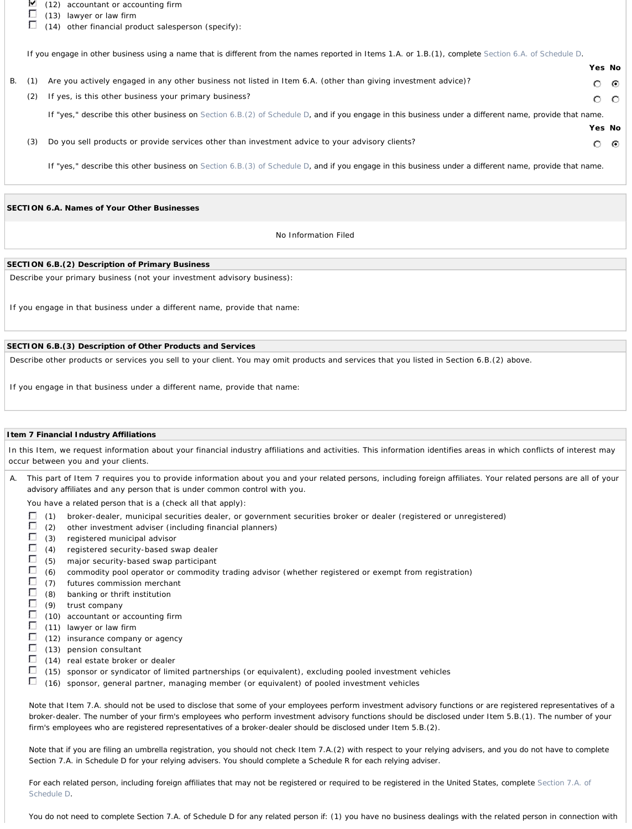- M (12) accountant or accounting firm
- П (13) lawyer or law firm
- $\Box$  (14) other financial product salesperson (specify):

*If you engage in other business using a name that is different from the names reported in Items 1.A. or 1.B.(1), complete Section 6.A. of Schedule D.*

**Yes No** B. (1) Are you actively engaged in any other business not listed in Item 6.A. (other than giving investment advice)?  $\odot$  $\circ$ (2) If yes, is this other business your primary business? O  $\circ$ *If "yes," describe this other business on Section 6.B.(2) of Schedule D, and if you engage in this business under a different name, provide that name.* **Yes No** (3) Do you sell products or provide services other than investment advice to your advisory *clients*?  $\circ$  $\odot$ 

*If "yes," describe this other business on Section 6.B.(3) of Schedule D, and if you engage in this business under a different name, provide that name.*

#### **SECTION 6.A. Names of Your Other Businesses**

#### No Information Filed

#### **SECTION 6.B.(2) Description of Primary Business**

Describe your primary business (not your investment advisory business):

If you engage in that business under a different name, provide that name:

## **SECTION 6.B.(3) Description of Other Products and Services**

Describe other products or services you sell to your *client*. You may omit products and services that you listed in Section 6.B.(2) above.

If you engage in that business under a different name, provide that name:

#### **Item 7 Financial Industry Affiliations**

In this Item, we request information about your financial industry affiliations and activities. This information identifies areas in which conflicts of interest may occur between you and your *clients*.

A. This part of Item 7 requires you to provide information about you and your *related persons*, including foreign affiliates. Your *related persons* are all of your *advisory affiliates* and any *person* that is under common *control* with you.

You have a *related person* that is a (check all that apply):

- $\Box$ (1) broker-dealer, municipal securities dealer, or government securities broker or dealer (registered or unregistered)
- П (2) other investment adviser (including financial planners)
- $\Box$  (3) registered municipal advisor
- $\Box$ (4) registered security-based swap dealer
- $\Box$ (5) major security-based swap participant
- П (6) commodity pool operator or commodity trading advisor (whether registered or exempt from registration)
- П (7) futures commission merchant
- П (8) banking or thrift institution
- П (9) trust company
- Г (10) accountant or accounting firm
- П (11) lawyer or law firm
- П (12) insurance company or agency
- Г (13) pension consultant
- Г (14) real estate broker or dealer
- П (15) sponsor or syndicator of limited partnerships (or equivalent), excluding pooled investment vehicles
- П (16) sponsor, general partner, managing member (or equivalent) of pooled investment vehicles

*Note that Item 7.A. should not be used to disclose that some of your employees perform investment advisory functions or are registered representatives of a broker-dealer. The number of your firm's employees who perform investment advisory functions should be disclosed under Item 5.B.(1). The number of your firm's employees who are registered representatives of a broker-dealer should be disclosed under Item 5.B.(2).* 

*Note that if you are filing an umbrella registration, you should not check Item 7.A.(2) with respect to your relying advisers, and you do not have to complete Section 7.A. in Schedule D for your relying advisers. You should complete a Schedule R for each relying adviser.* 

*For each related person, including foreign affiliates that may not be registered or required to be registered in the United States, complete Section 7.A. of Schedule D.* 

*You do not need to complete Section 7.A. of Schedule D for any related person if: (1) you have no business dealings with the related person in connection with*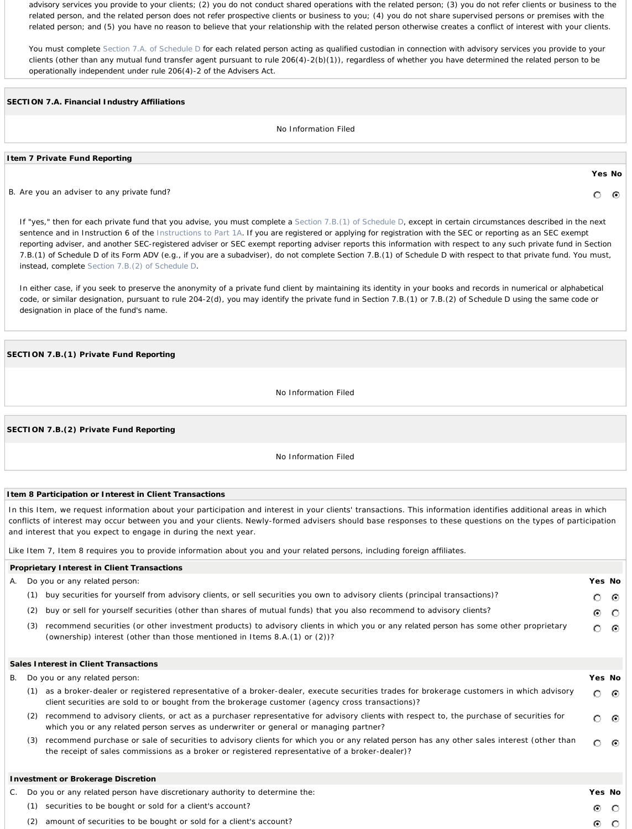*advisory services you provide to your clients; (2) you do not conduct shared operations with the related person; (3) you do not refer clients or business to the related person, and the related person does not refer prospective clients or business to you; (4) you do not share supervised persons or premises with the related person; and (5) you have no reason to believe that your relationship with the related person otherwise creates a conflict of interest with your clients.* 

*You must complete Section 7.A. of Schedule D for each related person acting as qualified custodian in connection with advisory services you provide to your clients (other than any mutual fund transfer agent pursuant to rule 206(4)-2(b)(1)), regardless of whether you have determined the related person to be operationally independent under rule 206(4)-2 of the Advisers Act.*

### **SECTION 7.A. Financial Industry Affiliations**

No Information Filed

**Yes No**

O.

 $\odot$ 

 $\circ$ 

⊙

### **Item 7** *Private Fund* **Reporting**

B. Are you an adviser to any *private fund*?

*If "yes," then for each private fund that you advise, you must complete a Section 7.B.(1) of Schedule D, except in certain circumstances described in the next sentence and in Instruction 6 of the Instructions to Part 1A. If you are registered or applying for registration with the SEC or reporting as an SEC exempt reporting adviser, and another SEC-registered adviser or SEC exempt reporting adviser reports this information with respect to any such private fund in Section 7.B.(1) of Schedule D of its Form ADV (e.g., if you are a subadviser), do not complete Section 7.B.(1) of Schedule D with respect to that private fund. You must, instead, complete Section 7.B.(2) of Schedule D.* 

*In either case, if you seek to preserve the anonymity of a private fund client by maintaining its identity in your books and records in numerical or alphabetical code, or similar designation, pursuant to rule 204-2(d), you may identify the private fund in Section 7.B.(1) or 7.B.(2) of Schedule D using the same code or designation in place of the fund's name.* 

**SECTION 7.B.(1)** *Private Fund* **Reporting**

No Information Filed

### **SECTION 7.B.(2)** *Private Fund* **Reporting**

No Information Filed

#### **Item 8 Participation or Interest in** *Client* **Transactions**

In this Item, we request information about your participation and interest in your *clients*' transactions. This information identifies additional areas in which conflicts of interest may occur between you and your *clients*. Newly-formed advisers should base responses to these questions on the types of participation and interest that you expect to engage in during the next year.

Like Item 7, Item 8 requires you to provide information about you and your *related persons*, including foreign affiliates.

|    |     | Proprietary Interest in <i>Client</i> Transactions                                                                                                                                                                                          |         |        |
|----|-----|---------------------------------------------------------------------------------------------------------------------------------------------------------------------------------------------------------------------------------------------|---------|--------|
| А. |     | Do you or any related person:                                                                                                                                                                                                               |         | Yes No |
|    | (1) | buy securities for yourself from advisory clients, or sell securities you own to advisory clients (principal transactions)?                                                                                                                 | O       | ⊙      |
|    | (2) | buy or sell for yourself securities (other than shares of mutual funds) that you also recommend to advisory clients?                                                                                                                        | ⊙       | €      |
|    | (3) | recommend securities (or other investment products) to advisory clients in which you or any related person has some other proprietary<br>(ownership) interest (other than those mentioned in Items 8.A. $(1)$ or $(2)$ )?                   | О       | - 0    |
|    |     | Sales Interest in <i>Client</i> Transactions                                                                                                                                                                                                |         |        |
| В. |     | Do you or any related person:                                                                                                                                                                                                               |         | Yes No |
|    | (1) | as a broker-dealer or registered representative of a broker-dealer, execute securities trades for brokerage customers in which advisory<br>client securities are sold to or bought from the brokerage customer (agency cross transactions)? | $\circ$ | - 0    |
|    | (2) | recommend to advisory clients, or act as a purchaser representative for advisory clients with respect to, the purchase of securities for<br>which you or any related person serves as underwriter or general or managing partner?           | $\circ$ | - 0    |
|    | (3) | recommend purchase or sale of securities to advisory clients for which you or any related person has any other sales interest (other than<br>the receipt of sales commissions as a broker or registered representative of a broker-dealer)? | $\circ$ | - 0    |
|    |     | <b>Investment or Brokerage Discretion</b>                                                                                                                                                                                                   |         |        |
| C. |     | Do you or any related person have discretionary authority to determine the:                                                                                                                                                                 |         | Yes No |
|    |     | (1) securities to be bought or sold for a <i>client's</i> account?                                                                                                                                                                          | ⊙       | O      |

(2) amount of securities to be bought or sold for a *client's* account?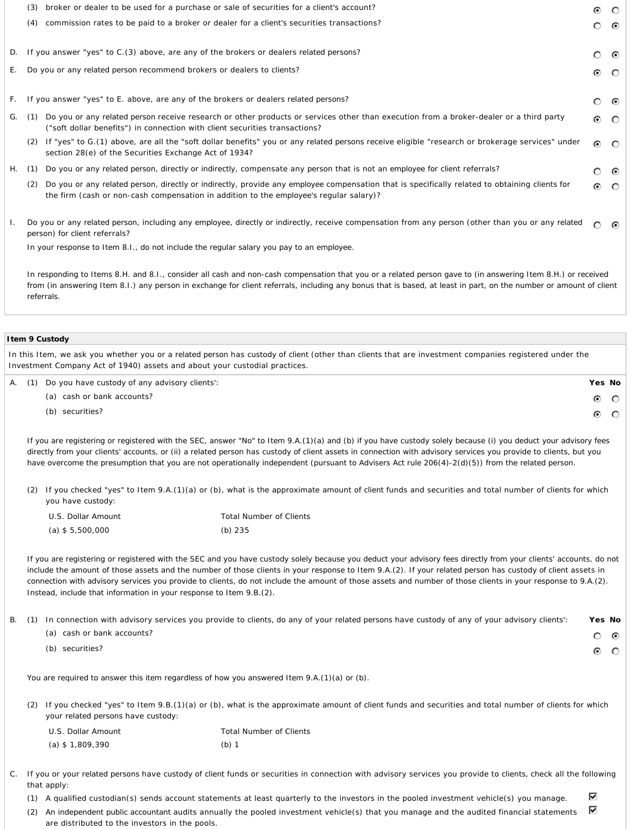|    | broker or dealer to be used for a purchase or sale of securities for a <i>client's</i> account?<br>(3)                                                                                                                                                                                                                                         | ⊙       | O         |
|----|------------------------------------------------------------------------------------------------------------------------------------------------------------------------------------------------------------------------------------------------------------------------------------------------------------------------------------------------|---------|-----------|
|    | commission rates to be paid to a broker or dealer for a <i>client's</i> securities transactions?<br>(4)                                                                                                                                                                                                                                        | O       | - 0       |
| D. | If you answer "yes" to C.(3) above, are any of the brokers or dealers related persons?                                                                                                                                                                                                                                                         | О       | ⊙         |
| Е. | Do you or any related person recommend brokers or dealers to clients?                                                                                                                                                                                                                                                                          | ⊙       | -0        |
| F. | If you answer "yes" to E. above, are any of the brokers or dealers related persons?                                                                                                                                                                                                                                                            | O.      | - 0       |
| G. | Do you or any related person receive research or other products or services other than execution from a broker-dealer or a third party<br>(1)<br>("soft dollar benefits") in connection with <i>client</i> securities transactions?                                                                                                            | $\odot$ | - 0       |
|    | If "yes" to G.(1) above, are all the "soft dollar benefits" you or any related persons receive eligible "research or brokerage services" under<br>(2)<br>section 28(e) of the Securities Exchange Act of 1934?                                                                                                                                 | $\odot$ | $\circ$   |
| H. | Do you or any related person, directly or indirectly, compensate any person that is not an employee for client referrals?<br>(1)                                                                                                                                                                                                               | Ο       | ⊙         |
|    | Do you or any related person, directly or indirectly, provide any employee compensation that is specifically related to obtaining clients for<br>(2)<br>the firm (cash or non-cash compensation in addition to the employee's regular salary)?                                                                                                 | ⊙       | $\circ$   |
|    | Do you or any related person, including any employee, directly or indirectly, receive compensation from any person (other than you or any related<br>person) for client referrals?                                                                                                                                                             | O       | $\bullet$ |
|    | In your response to Item 8.1., do not include the regular salary you pay to an employee.                                                                                                                                                                                                                                                       |         |           |
|    | In responding to Items 8.H. and 8.I., consider all cash and non-cash compensation that you or a related person gave to (in answering Item 8.H.) or received<br>from (in answering Item 8.1.) any person in exchange for client referrals, including any bonus that is based, at least in part, on the number or amount of client<br>referrals. |         |           |
|    |                                                                                                                                                                                                                                                                                                                                                |         |           |
|    | I tem 9 Custody                                                                                                                                                                                                                                                                                                                                |         |           |

In this Item, we ask you whether you or a *related person* has *custody* of *client* (other than *clients* that are investment companies registered under the Investment Company Act of 1940) assets and about your custodial practices.

| (a) cash or bank accounts? | ⊙                                                    |        |
|----------------------------|------------------------------------------------------|--------|
| (b) securities?            | $\bullet$                                            |        |
|                            | A. (1) Do you have custody of any advisory clients': | Yes No |

*If you are registering or registered with the SEC, answer "No" to Item 9.A.(1)(a) and (b) if you have custody solely because (i) you deduct your advisory fees directly from your clients' accounts, or (ii) a related person has custody of client assets in connection with advisory services you provide to clients, but you have overcome the presumption that you are not operationally independent (pursuant to Advisers Act rule 206(4)-2(d)(5)) from the related person.*

(2) If you checked "yes" to Item 9.A.(1)(a) or (b), what is the approximate amount of *client* funds and securities and total number of *clients* for which you have *custody*:

| U.S. Dollar Amount | Total Number of Clients |
|--------------------|-------------------------|
| (a) $$5,500,000$   | (b) $235$               |

*If you are registering or registered with the SEC and you have custody solely because you deduct your advisory fees directly from your clients' accounts, do not include the amount of those assets and the number of those clients in your response to Item 9.A.(2). If your related person has custody of client assets in connection with advisory services you provide to clients, do not include the amount of those assets and number of those clients in your response to 9.A.(2). Instead, include that information in your response to Item 9.B.(2).*

B. (1) In connection with advisory services you provide to *clients*, do any of your *related persons* have *custody* of any of your advisory *clients'*: **Yes No**

O

 $\odot$  $\circ$ 

 $\odot$ 

- (a) cash or bank accounts?
- (b) securities?

*You are required to answer this item regardless of how you answered Item 9.A.(1)(a) or (b).*

(2) If you checked "yes" to Item 9.B.(1)(a) or (b), what is the approximate amount of *client* funds and securities and total number of *clients* for which your *related persons* have *custody*:

| U.S. Dollar Amount | Total Number of Clients |
|--------------------|-------------------------|
| (a) \$ 1,809,390   | $(b)$ 1                 |

- C. If you or your *related persons* have *custody* of *client* funds or securities in connection with advisory services you provide to *clients*, check all the following that apply:
	- ∇ (1) A qualified custodian(s) sends account statements at least quarterly to the investors in the pooled investment vehicle(s) you manage.

⊽ (2) An *independent public accountant* audits annually the pooled investment vehicle(s) that you manage and the audited financial statements are distributed to the investors in the pools.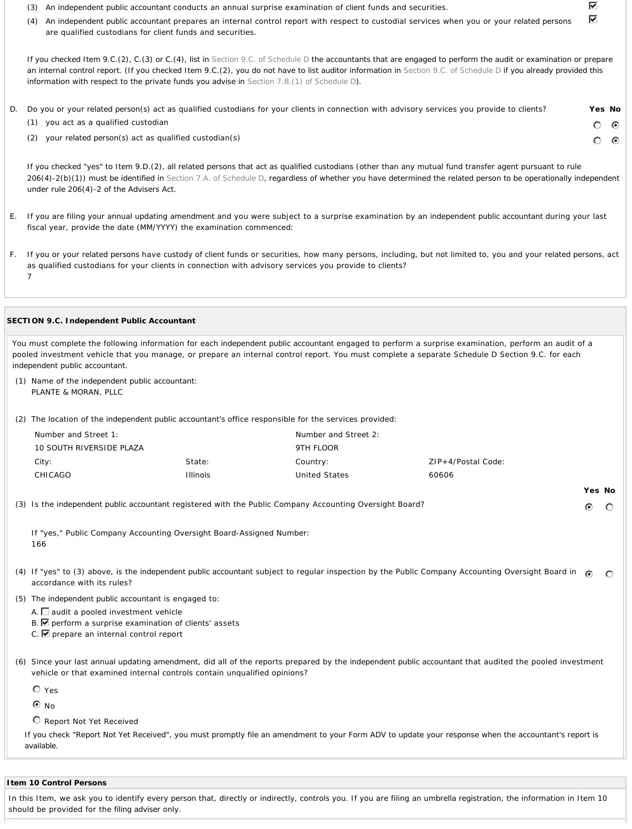|    | An independent public accountant conducts an annual surprise examination of client funds and securities.<br>(3)                                                                                                                                                                                                                                                                                                                       | ⊽      |  |
|----|---------------------------------------------------------------------------------------------------------------------------------------------------------------------------------------------------------------------------------------------------------------------------------------------------------------------------------------------------------------------------------------------------------------------------------------|--------|--|
|    | An independent public accountant prepares an internal control report with respect to custodial services when you or your related persons<br>(4)<br>are qualified custodians for client funds and securities.                                                                                                                                                                                                                          | ⊽      |  |
|    | If you checked Item 9.C.(2), C.(3) or C.(4), list in Section 9.C. of Schedule D the accountants that are engaged to perform the audit or examination or prepare<br>an internal control report. (If you checked Item 9.C.(2), you do not have to list auditor information in Section 9.C. of Schedule D if you already provided this<br>information with respect to the private funds you advise in Section 7.B. $(1)$ of Schedule D). |        |  |
| D. | Do you or your related person(s) act as qualified custodians for your clients in connection with advisory services you provide to clients?                                                                                                                                                                                                                                                                                            | Yes No |  |
|    | you act as a qualified custodian<br>(1)                                                                                                                                                                                                                                                                                                                                                                                               | O<br>⊙ |  |
|    | your related person(s) act as qualified custodian(s)<br>(2)                                                                                                                                                                                                                                                                                                                                                                           | О<br>⊙ |  |
|    | If you checked "yes" to Item 9.D.(2), all related persons that act as qualified custodians (other than any mutual fund transfer agent pursuant to rule<br>206(4)-2(b)(1)) must be identified in Section 7.A. of Schedule D, regardless of whether you have determined the related person to be operationally independent<br>under rule 206(4)-2 of the Advisers Act.                                                                  |        |  |
| Е. | If you are filing your annual updating amendment and you were subject to a surprise examination by an independent public accountant during your last<br>fiscal year, provide the date (MM/YYYY) the examination commenced:                                                                                                                                                                                                            |        |  |
| F. | If you or your related persons have custody of client funds or securities, how many persons, including, but not limited to, you and your related persons, act<br>as qualified custodians for your clients in connection with advisory services you provide to clients?                                                                                                                                                                |        |  |

#### **SECTION 9.C.** *Independent Public Accountant*

You must complete the following information for each *independent public accountant* engaged to perform a surprise examination, perform an audit of a pooled investment vehicle that you manage, or prepare an internal control report. You must complete a separate Schedule D Section 9.C. for each *independent public accountant*.

(1) Name of the *independent public accountant*: PLANTE & MORAN, PLLC

(2) The location of the *independent public accountant's* office responsible for the services provided:

| Number and Street 1:     |                 | Number and Street 2: |                      |  |  |  |
|--------------------------|-----------------|----------------------|----------------------|--|--|--|
| 10 SOUTH RIVERSIDE PLAZA |                 | 9TH FLOOR            |                      |  |  |  |
| City:                    | State:          | Country:             | $ZIP+4/Postal Code:$ |  |  |  |
| CHICAGO                  | <b>Illinois</b> | United States        | 60606                |  |  |  |

(3) Is the *independent public accountant* registered with the Public Company Accounting Oversight Board?

If "yes," Public Company Accounting Oversight Board-Assigned Number: 166

(4) If "yes" to (3) above, is the *independent public accountant* subject to regular inspection by the Public Company Accounting Oversight Board in  $\circ$ accordance with its rules?

**Yes No**

- 0

۵

(5) The *independent public accountant* is engaged to:

A.  $\Box$  audit a pooled investment vehicle

B. **Ø** perform a surprise examination of *clients'* assets

 $C.$   $\blacksquare$  prepare an internal control report

- (6) Since your last *annual updating amendment*, did all of the reports prepared by the *independent public accountant* that audited the pooled investment vehicle or that examined internal controls contain unqualified opinions?
	- Yes

 $\bullet$  No

Report Not Yet Received

*If you check "Report Not Yet Received", you must promptly file an amendment to your Form ADV to update your response when the accountant's report is available.*

## **Item 10 Control Persons**

In this Item, we ask you to identify every *person* that, directly or indirectly, *controls* you. If you are filing an *umbrella registration*, the information in Item 10 should be provided for the *filing adviser* only.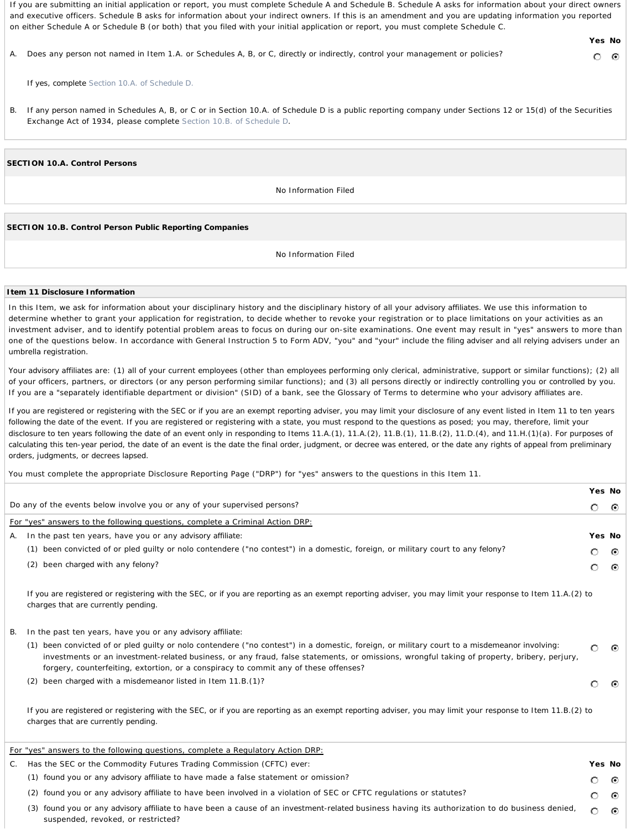If you are submitting an initial application or report, you must complete Schedule A and Schedule B. Schedule A asks for information about your direct owners and executive officers. Schedule B asks for information about your indirect owners. If this is an amendment and you are updating information you reported on either Schedule A or Schedule B (or both) that you filed with your initial application or report, you must complete Schedule C.

A. Does any *person* not named in Item 1.A. or Schedules A, B, or C, directly or indirectly, *control* your management or policies?

**Yes No**

- 0 O.

 $\circ$ 

 $\odot$ 

*If yes, complete Section 10.A. of Schedule D.*

B. If any *person* named in Schedules A, B, or C or in Section 10.A. of Schedule D is a public reporting company under Sections 12 or 15(d) of the Securities Exchange Act of 1934, please complete Section 10.B. of Schedule D.

**SECTION 10.A.** *Control Persons*

No Information Filed

**SECTION 10.B.** *Control Person* **Public Reporting Companies**

No Information Filed

#### **Item 11 Disclosure Information**

In this Item, we ask for information about your disciplinary history and the disciplinary history of all your *advisory affiliates*. We use this information to determine whether to grant your application for registration, to decide whether to revoke your registration or to place limitations on your activities as an investment adviser, and to identify potential problem areas to focus on during our on-site examinations. One event may result in "yes" answers to more than one of the questions below. In accordance with General Instruction 5 to Form ADV, "you" and "your" include the *filing adviser* and all *relying advisers* under an *umbrella registration*.

Your *advisory affiliates* are: (1) all of your current *employees* (other than *employees* performing only clerical, administrative, support or similar functions); (2) all of your officers, partners, or directors (or any *person* performing similar functions); and (3) all *persons* directly or indirectly *controlling* you or *controlled* by you. If you are a "separately identifiable department or division" (SID) of a bank, see the Glossary of Terms to determine who your *advisory affiliates* are.

*If you are registered or registering with the SEC or if you are an exempt reporting adviser, you may limit your disclosure of any event listed in Item 11 to ten years following the date of the event. If you are registered or registering with a state, you must respond to the questions as posed; you may, therefore, limit your disclosure to ten years following the date of an event only in responding to Items 11.A.(1), 11.A.(2), 11.B.(1), 11.B.(2), 11.D.(4), and 11.H.(1)(a). For purposes of calculating this ten-year period, the date of an event is the date the final order, judgment, or decree was entered, or the date any rights of appeal from preliminary orders, judgments, or decrees lapsed.*

You must complete the appropriate Disclosure Reporting Page ("DRP") for "yes" answers to the questions in this Item 11.

|    |                                                                                                                                                                                                                                                                                                                                                                                        |   | Yes No      |
|----|----------------------------------------------------------------------------------------------------------------------------------------------------------------------------------------------------------------------------------------------------------------------------------------------------------------------------------------------------------------------------------------|---|-------------|
|    | Do any of the events below involve you or any of your supervised persons?                                                                                                                                                                                                                                                                                                              | O | ⊙           |
|    | For "yes" answers to the following questions, complete a Criminal Action DRP:                                                                                                                                                                                                                                                                                                          |   |             |
|    | A. In the past ten years, have you or any advisory affiliate:                                                                                                                                                                                                                                                                                                                          |   | Yes No      |
|    | (1) been convicted of or pled guilty or nolo contendere ("no contest") in a domestic, foreign, or military court to any felony?                                                                                                                                                                                                                                                        | O | $\odot$     |
|    | been charged with any felony?<br>(2)                                                                                                                                                                                                                                                                                                                                                   | O | ⊙           |
|    | If you are registered or registering with the SEC, or if you are reporting as an exempt reporting adviser, you may limit your response to Item 11.A. (2) to<br>charges that are currently pending.                                                                                                                                                                                     |   |             |
| В. | In the past ten years, have you or any advisory affiliate:                                                                                                                                                                                                                                                                                                                             |   |             |
|    | been convicted of or pled guilty or nolo contendere ("no contest") in a domestic, foreign, or military court to a misdemeanor involving:<br>(1)<br>investments or an investment-related business, or any fraud, false statements, or omissions, wrongful taking of property, bribery, perjury,<br>forgery, counterfeiting, extortion, or a conspiracy to commit any of these offenses? |   | $(\bullet)$ |
|    | been charged with a misdemeanor listed in Item 11.B.(1)?                                                                                                                                                                                                                                                                                                                               |   |             |
|    | If you are registered or registering with the SEC, or if you are reporting as an exempt reporting adviser, you may limit your response to Item 11.B. (2) to<br>charges that are currently pending.                                                                                                                                                                                     |   |             |
|    | For "yes" answers to the following questions, complete a Regulatory Action DRP:                                                                                                                                                                                                                                                                                                        |   |             |
| C. | Has the SEC or the Commodity Futures Trading Commission (CFTC) ever:                                                                                                                                                                                                                                                                                                                   |   | Yes No      |
|    | (1) found you or any advisory affiliate to have made a false statement or omission?                                                                                                                                                                                                                                                                                                    | O | ⊙           |

(2) *found* you or any *advisory affiliate* to have been *involved* in a violation of SEC or CFTC regulations or statutes?

(3) *found* you or any *advisory affiliate* to have been a cause of an *investment-related* business having its authorization to do business denied,  $\circ$ ⊙ suspended, revoked, or restricted?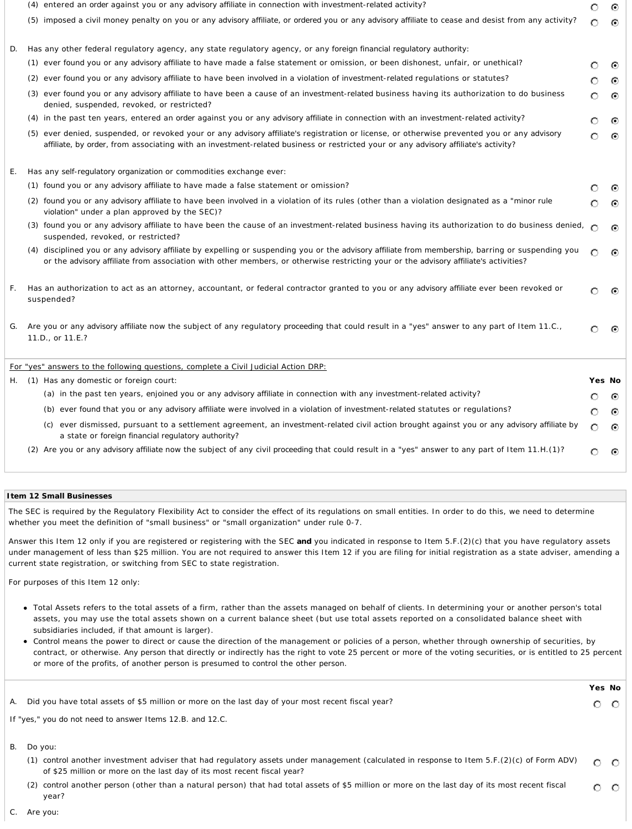|    | (4) entered an order against you or any advisory affiliate in connection with investment-related activity?                                                                                                                                                                                                 | Ο | ⊙         |
|----|------------------------------------------------------------------------------------------------------------------------------------------------------------------------------------------------------------------------------------------------------------------------------------------------------------|---|-----------|
|    | (5) imposed a civil money penalty on you or any advisory affiliate, or ordered you or any advisory affiliate to cease and desist from any activity?                                                                                                                                                        | О | ⊙         |
| D. | Has any other federal regulatory agency, any state regulatory agency, or any foreign financial regulatory authority:                                                                                                                                                                                       |   |           |
|    | (1) ever found you or any advisory affiliate to have made a false statement or omission, or been dishonest, unfair, or unethical?                                                                                                                                                                          | O | $\bullet$ |
|    | ever found you or any advisory affiliate to have been involved in a violation of investment-related regulations or statutes?<br>(2)                                                                                                                                                                        | О | ⊙         |
|    | ever found you or any advisory affiliate to have been a cause of an investment-related business having its authorization to do business<br>(3)<br>denied, suspended, revoked, or restricted?                                                                                                               | О | ⊙         |
|    | (4) in the past ten years, entered an order against you or any advisory affiliate in connection with an investment-related activity?                                                                                                                                                                       |   | ⊙         |
|    | ever denied, suspended, or revoked your or any advisory affiliate's registration or license, or otherwise prevented you or any advisory<br>(5)<br>affiliate, by order, from associating with an investment-related business or restricted your or any advisory affiliate's activity?                       | О | ⊙         |
| Ε. | Has any self-regulatory organization or commodities exchange ever:                                                                                                                                                                                                                                         |   |           |
|    | found you or any advisory affiliate to have made a false statement or omission?<br>(1)                                                                                                                                                                                                                     |   | $\odot$   |
|    | found you or any advisory affiliate to have been involved in a violation of its rules (other than a violation designated as a "minor rule<br>violation" under a plan approved by the SEC)?                                                                                                                 | О | ⊙         |
|    | (3) found you or any advisory affiliate to have been the cause of an investment-related business having its authorization to do business denied,<br>suspended, revoked, or restricted?                                                                                                                     | Ω | ⊙         |
|    | disciplined you or any <i>advisory affiliate</i> by expelling or suspending you or the <i>advisory affiliate</i> from membership, barring or suspending you<br>(4)<br>or the advisory affiliate from association with other members, or otherwise restricting your or the advisory affiliate's activities? | О | ⊙         |
| F. | Has an authorization to act as an attorney, accountant, or federal contractor granted to you or any advisory affiliate ever been revoked or<br>suspended?                                                                                                                                                  | O | ⊙         |
| G. | Are you or any <i>advisory affiliate</i> now the subject of any regulatory <i>proceeding</i> that could result in a "yes" answer to any part of Item 11.C.,<br>11.D., or 11.E.?                                                                                                                            | О | ⊙         |
|    | For "yes" answers to the following questions, complete a Civil Judicial Action DRP:                                                                                                                                                                                                                        |   |           |
| Н. | (1) Has any domestic or foreign court:                                                                                                                                                                                                                                                                     |   | Yes No    |
|    | (a) in the past ten years, enjoined you or any advisory affiliate in connection with any investment-related activity?                                                                                                                                                                                      | О | ⊙         |
|    | ever found that you or any advisory affiliate were involved in a violation of investment-related statutes or regulations?<br>(b)                                                                                                                                                                           | О | ⊙         |
|    | ever dismissed, pursuant to a settlement agreement, an investment-related civil action brought against you or any advisory affiliate by<br>(C)<br>a state or foreign financial regulatory authority?                                                                                                       | O | ⊙         |
|    | (2) Are you or any advisory affiliate now the subject of any civil proceeding that could result in a "yes" answer to any part of Item 11.H.(1)?                                                                                                                                                            |   |           |

## **Item 12 Small Businesses**

The SEC is required by the Regulatory Flexibility Act to consider the effect of its regulations on small entities. In order to do this, we need to determine whether you meet the definition of "small business" or "small organization" under rule 0-7.

Answer this Item 12 only if you are registered or registering with the SEC **and** you indicated in response to Item 5.F.(2)(c) that you have regulatory assets under management of less than \$25 million. You are not required to answer this Item 12 if you are filing for initial registration as a state adviser, amending a current state registration, or switching from SEC to state registration.

For purposes of this Item 12 only:

- Total Assets refers to the total assets of a firm, rather than the assets managed on behalf of *clients*. In determining your or another *person's* total assets, you may use the total assets shown on a current balance sheet (but use total assets reported on a consolidated balance sheet with subsidiaries included, if that amount is larger).
- *Control* means the power to direct or cause the direction of the management or policies of a *person*, whether through ownership of securities, by contract, or otherwise. Any *person* that directly or indirectly has the right to vote 25 percent or more of the voting securities, or is entitled to 25 percent or more of the profits, of another *person* is presumed to *control* the other *person*.

|      |                                                                                                                                                                                                                       | Yes No |                 |  |
|------|-----------------------------------------------------------------------------------------------------------------------------------------------------------------------------------------------------------------------|--------|-----------------|--|
|      | A. Did you have total assets of \$5 million or more on the last day of your most recent fiscal year?                                                                                                                  | 0.     |                 |  |
|      | If "yes," you do not need to answer Items 12.B. and 12.C.                                                                                                                                                             |        |                 |  |
| - B. | Do you:                                                                                                                                                                                                               |        |                 |  |
|      | (1) control another investment adviser that had regulatory assets under management (calculated in response to Item 5.F.(2)(c) of Form ADV)<br>of \$25 million or more on the last day of its most recent fiscal year? |        | $\circ$ $\circ$ |  |
|      | (2) control another person (other than a natural person) that had total assets of \$5 million or more on the last day of its most recent fiscal                                                                       |        |                 |  |

C. Are you:

year?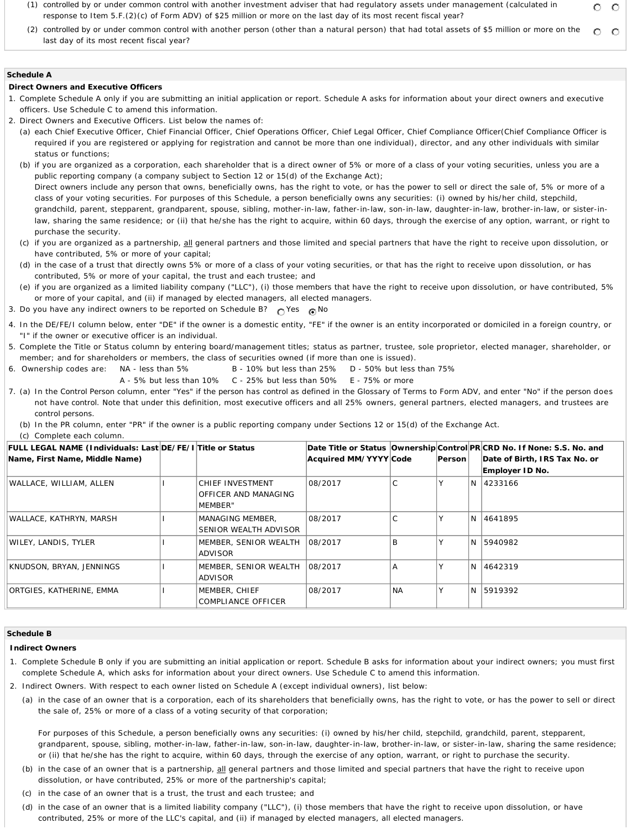- (1) *controlled* by or under common *control* with another investment adviser that had regulatory assets under management (calculated in  $\circ$   $\circ$ response to Item 5.F.(2)(c) of Form ADV) of \$25 million or more on the last day of its most recent fiscal year?
- (2) *controlled* by or under common *control* with another *person* (other than a natural person) that had total assets of \$5 million or more on the  $\circ$   $\circ$ last day of its most recent fiscal year?

### **Schedule A**

### **Direct Owners and Executive Officers**

purchase the security.

- 1. Complete Schedule A only if you are submitting an initial application or report. Schedule A asks for information about your direct owners and executive officers. Use Schedule C to amend this information.
- 2. Direct Owners and Executive Officers. List below the names of:
	- (a) each Chief Executive Officer, Chief Financial Officer, Chief Operations Officer, Chief Legal Officer, Chief Compliance Officer(Chief Compliance Officer is required if you are registered or applying for registration and cannot be more than one individual), director, and any other individuals with similar status or functions;
	- (b) if you are organized as a corporation, each shareholder that is a direct owner of 5% or more of a class of your voting securities, unless you are a public reporting company (a company subject to Section 12 or 15(d) of the Exchange Act); Direct owners include any *person* that owns, beneficially owns, has the right to vote, or has the power to sell or direct the sale of, 5% or more of a class of your voting securities. For purposes of this Schedule, a *person* beneficially owns any securities: (i) owned by his/her child, stepchild, grandchild, parent, stepparent, grandparent, spouse, sibling, mother-in-law, father-in-law, son-in-law, daughter-in-law, brother-in-law, or sister-inlaw, sharing the same residence; or (ii) that he/she has the right to acquire, within 60 days, through the exercise of any option, warrant, or right to
	- (c) if you are organized as a partnership, all general partners and those limited and special partners that have the right to receive upon dissolution, or have contributed, 5% or more of your capital;
	- (d) in the case of a trust that directly owns 5% or more of a class of your voting securities, or that has the right to receive upon dissolution, or has contributed, 5% or more of your capital, the trust and each trustee; and
	- (e) if you are organized as a limited liability company ("LLC"), (i) those members that have the right to receive upon dissolution, or have contributed, 5% or more of your capital, and (ii) if managed by elected managers, all elected managers.
- 3. Do you have any indirect owners to be reported on Schedule B?  $\bigcap$  Yes  $\bigcap$  No
- 4. In the DE/FE/I column below, enter "DE" if the owner is a domestic entity, "FE" if the owner is an entity incorporated or domiciled in a foreign country, or "I" if the owner or executive officer is an individual.
- 5. Complete the Title or Status column by entering board/management titles; status as partner, trustee, sole proprietor, elected manager, shareholder, or member; and for shareholders or members, the class of securities owned (if more than one is issued).
- 6. Ownership codes are: NA less than 5% B 10% but less than 25% D 50% but less than 75%
	- A 5% but less than 10% C 25% but less than 50% E 75% or more
- 7. (a) In the *Control Person* column, enter "Yes" if the *person* has *control* as defined in the Glossary of Terms to Form ADV, and enter "No" if the *person* does not have *control*. Note that under this definition, most executive officers and all 25% owners, general partners, elected managers, and trustees are *control persons*.
	- (b) In the PR column, enter "PR" if the owner is a public reporting company under Sections 12 or 15(d) of the Exchange Act.
	- (c) Complete each column.

| FULL LEGAL NAME (Individuals: Last DE/FE/I Title or Status<br>Name, First Name, Middle Name) |                                                     | Acquired MM/YYYY Code |           | $\left  Person \right $ |    | Date Title or Status   Ownership   Control   PR   CRD No. If None: S.S. No. and<br>Date of Birth, IRS Tax No. or<br>Employer ID No. |
|----------------------------------------------------------------------------------------------|-----------------------------------------------------|-----------------------|-----------|-------------------------|----|-------------------------------------------------------------------------------------------------------------------------------------|
| WALLACE, WILLIAM, ALLEN                                                                      | CHIEF INVESTMENT<br>OFFICER AND MANAGING<br>MEMBER" | 08/2017               | ι.        |                         |    | N 4233166                                                                                                                           |
| WALLACE, KATHRYN, MARSH                                                                      | MANAGING MEMBER,<br>SENIOR WEALTH ADVISOR           | 08/2017               | C         |                         |    | N 4641895                                                                                                                           |
| WILEY, LANDIS, TYLER                                                                         | MEMBER, SENIOR WEALTH<br>ADVISOR                    | 08/2017               | B         |                         | N. | 5940982                                                                                                                             |
| KNUDSON, BRYAN, JENNINGS                                                                     | MEMBER, SENIOR WEALTH<br>ADVISOR                    | 08/2017               | A         |                         |    | N 4642319                                                                                                                           |
| ORTGIES, KATHERINE, EMMA                                                                     | MEMBER, CHIEF<br>COMPLIANCE OFFICER                 | 08/2017               | <b>NA</b> |                         | N. | 5919392                                                                                                                             |

#### **Schedule B**

### **Indirect Owners**

- 1. Complete Schedule B only if you are submitting an initial application or report. Schedule B asks for information about your indirect owners; you must first complete Schedule A, which asks for information about your direct owners. Use Schedule C to amend this information.
- 2. Indirect Owners. With respect to each owner listed on Schedule A (except individual owners), list below:
- (a) in the case of an owner that is a corporation, each of its shareholders that beneficially owns, has the right to vote, or has the power to sell or direct the sale of, 25% or more of a class of a voting security of that corporation;

For purposes of this Schedule, a *person* beneficially owns any securities: (i) owned by his/her child, stepchild, grandchild, parent, stepparent, grandparent, spouse, sibling, mother-in-law, father-in-law, son-in-law, daughter-in-law, brother-in-law, or sister-in-law, sharing the same residence; or (ii) that he/she has the right to acquire, within 60 days, through the exercise of any option, warrant, or right to purchase the security.

- (b) in the case of an owner that is a partnership, all general partners and those limited and special partners that have the right to receive upon dissolution, or have contributed, 25% or more of the partnership's capital;
- (c) in the case of an owner that is a trust, the trust and each trustee; and
- (d) in the case of an owner that is a limited liability company ("LLC"), (i) those members that have the right to receive upon dissolution, or have contributed, 25% or more of the LLC's capital, and (ii) if managed by elected managers, all elected managers.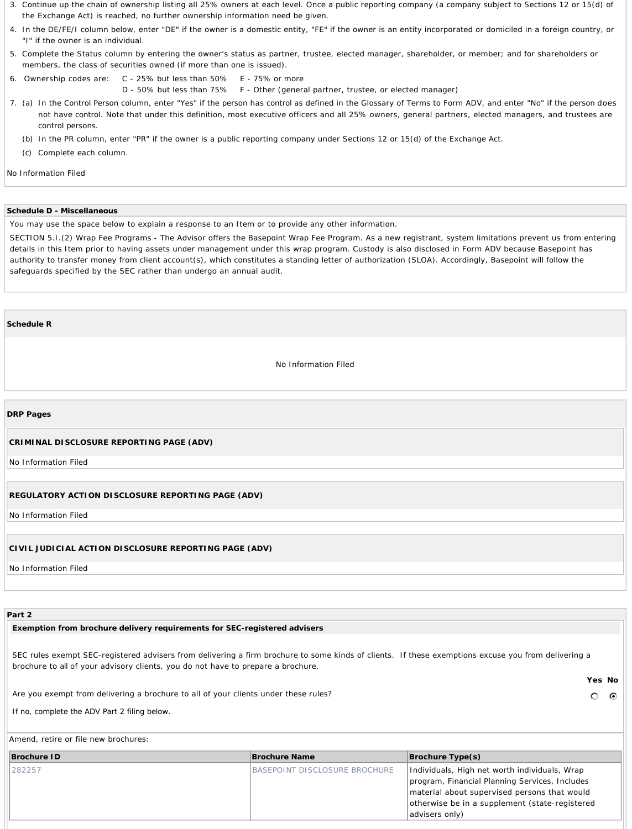- 3. Continue up the chain of ownership listing all 25% owners at each level. Once a public reporting company (a company subject to Sections 12 or 15(d) of the Exchange Act) is reached, no further ownership information need be given.
- 4. In the DE/FE/I column below, enter "DE" if the owner is a domestic entity, "FE" if the owner is an entity incorporated or domiciled in a foreign country, or "I" if the owner is an individual.
- 5. Complete the Status column by entering the owner's status as partner, trustee, elected manager, shareholder, or member; and for shareholders or members, the class of securities owned (if more than one is issued).
- 6. Ownership codes are: C 25% but less than 50% E 75% or more
	- D 50% but less than 75% F Other (general partner, trustee, or elected manager)
- 7. (a) In the *Control Person* column, enter "Yes" if the *person* has *control* as defined in the Glossary of Terms to Form ADV, and enter "No" if the *person* does not have *control*. Note that under this definition, most executive officers and all 25% owners, general partners, elected managers, and trustees are *control persons*.
	- (b) In the PR column, enter "PR" if the owner is a public reporting company under Sections 12 or 15(d) of the Exchange Act.
	- (c) Complete each column.

No Information Filed

## **Schedule D - Miscellaneous**

You may use the space below to explain a response to an Item or to provide any other information.

SECTION 5.I.(2) Wrap Fee Programs - The Advisor offers the Basepoint Wrap Fee Program. As a new registrant, system limitations prevent us from entering details in this Item prior to having assets under management under this wrap program. Custody is also disclosed in Form ADV because Basepoint has authority to transfer money from client account(s), which constitutes a standing letter of authorization (SLOA). Accordingly, Basepoint will follow the safeguards specified by the SEC rather than undergo an annual audit.

## **Schedule R**

No Information Filed

#### **DRP Pages**

#### **CRIMINAL DISCLOSURE REPORTING PAGE (ADV)**

No Information Filed

### **REGULATORY ACTION DISCLOSURE REPORTING PAGE (ADV)**

No Information Filed

# **CIVIL JUDICIAL ACTION DISCLOSURE REPORTING PAGE (ADV)**

No Information Filed

# **Part 2**

## **Exemption from brochure delivery requirements for SEC-registered advisers**

SEC rules exempt SEC-registered advisers from delivering a firm brochure to some kinds of clients. If these exemptions excuse you from delivering a brochure to *all* of your advisory clients, you do not have to prepare a brochure.

**Yes No**

 $\odot$ 

 $\circ$ 

Are you exempt from delivering a brochure to all of your clients under these rules?

*If no, complete the ADV Part 2 filing below.*

Amend, retire or file new brochures:

| Brochure ID | Brochure Name                 | $\vert$ Brochure Type $(s)$                    |
|-------------|-------------------------------|------------------------------------------------|
| 282257      | BASEPOINT DISCLOSURE BROCHURE | Individuals, High net worth individuals, Wrap  |
|             |                               | program, Financial Planning Services, Includes |
|             |                               | material about supervised persons that would   |
|             |                               | otherwise be in a supplement (state-registered |
|             |                               | advisers only)                                 |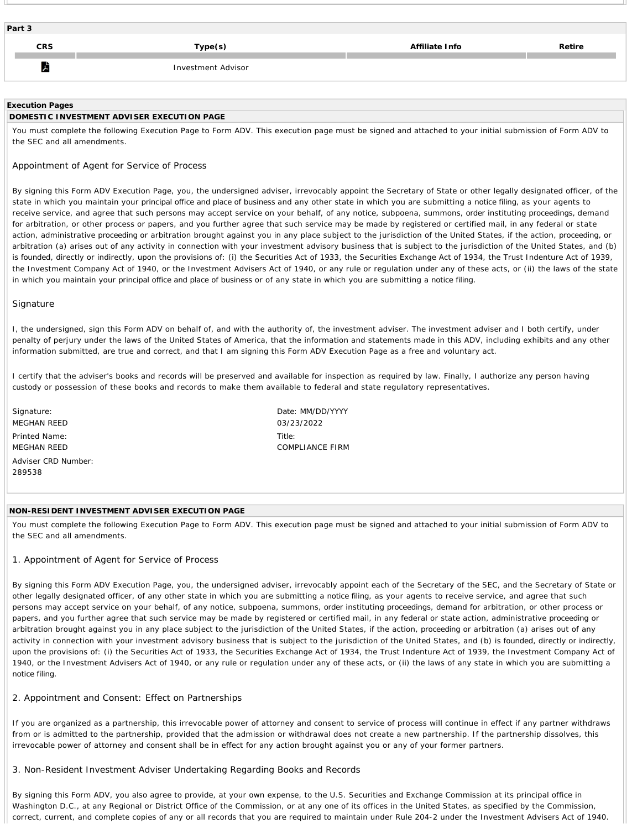|    | Part 3 |
|----|--------|
| CR |        |
|    |        |

**CRS Type(s) Affiliate Info Retire** Investment Advisor ど

## **Execution Pages**

## **DOMESTIC INVESTMENT ADVISER EXECUTION PAGE**

You must complete the following Execution Page to Form ADV. This execution page must be signed and attached to your initial submission of Form ADV to the SEC and all amendments.

## Appointment of Agent for Service of Process

By signing this Form ADV Execution Page, you, the undersigned adviser, irrevocably appoint the Secretary of State or other legally designated officer, of the state in which you maintain your *principal office and place of business* and any other state in which you are submitting a *notice filing*, as your agents to receive service, and agree that such *persons* may accept service on your behalf, of any notice, subpoena, summons, *order* instituting *proceedings*, demand for arbitration, or other process or papers, and you further agree that such service may be made by registered or certified mail, in any federal or state action, administrative *proceeding* or arbitration brought against you in any place subject to the jurisdiction of the United States, if the action, *proceeding*, or arbitration (a) arises out of any activity in connection with your investment advisory business that is subject to the jurisdiction of the United States, and (b) is *founded*, directly or indirectly, upon the provisions of: (i) the Securities Act of 1933, the Securities Exchange Act of 1934, the Trust Indenture Act of 1939, the Investment Company Act of 1940, or the Investment Advisers Act of 1940, or any rule or regulation under any of these acts, or (ii) the laws of the state in which you maintain your *principal office and place of business* or of any state in which you are submitting a *notice filing*.

## Signature

I, the undersigned, sign this Form ADV on behalf of, and with the authority of, the investment adviser. The investment adviser and I both certify, under penalty of perjury under the laws of the United States of America, that the information and statements made in this ADV, including exhibits and any other information submitted, are true and correct, and that I am signing this Form ADV Execution Page as a free and voluntary act.

I certify that the adviser's books and records will be preserved and available for inspection as required by law. Finally, I authorize any *person* having *custody* or possession of these books and records to make them available to federal and state regulatory representatives.

Signature: MEGHAN REED Printed Name: MEGHAN REED Adviser *CRD* Number: 289538

Date: MM/DD/YYYY 03/23/2022 Title: COMPLIANCE FIRM

### *NON-RESIDENT* **INVESTMENT ADVISER EXECUTION PAGE**

You must complete the following Execution Page to Form ADV. This execution page must be signed and attached to your initial submission of Form ADV to the SEC and all amendments.

## 1. Appointment of Agent for Service of Process

By signing this Form ADV Execution Page, you, the undersigned adviser, irrevocably appoint each of the Secretary of the SEC, and the Secretary of State or other legally designated officer, of any other state in which you are submitting a *notice filing*, as your agents to receive service, and agree that such persons may accept service on your behalf, of any notice, subpoena, summons, *order* instituting *proceedings*, demand for arbitration, or other process or papers, and you further agree that such service may be made by registered or certified mail, in any federal or state action, administrative *proceeding* or arbitration brought against you in any place subject to the jurisdiction of the United States, if the action, *proceeding* or arbitration (a) arises out of any activity in connection with your investment advisory business that is subject to the jurisdiction of the United States, and (b) is *founded*, directly or indirectly, upon the provisions of: (i) the Securities Act of 1933, the Securities Exchange Act of 1934, the Trust Indenture Act of 1939, the Investment Company Act of 1940, or the Investment Advisers Act of 1940, or any rule or regulation under any of these acts, or (ii) the laws of any state in which you are submitting a *notice filing*.

## 2. Appointment and Consent: Effect on Partnerships

If you are organized as a partnership, this irrevocable power of attorney and consent to service of process will continue in effect if any partner withdraws from or is admitted to the partnership, provided that the admission or withdrawal does not create a new partnership. If the partnership dissolves, this irrevocable power of attorney and consent shall be in effect for any action brought against you or any of your former partners.

## 3. *Non-Resident* Investment Adviser Undertaking Regarding Books and Records

By signing this Form ADV, you also agree to provide, at your own expense, to the U.S. Securities and Exchange Commission at its principal office in Washington D.C., at any Regional or District Office of the Commission, or at any one of its offices in the United States, as specified by the Commission, correct, current, and complete copies of any or all records that you are required to maintain under Rule 204-2 under the Investment Advisers Act of 1940.